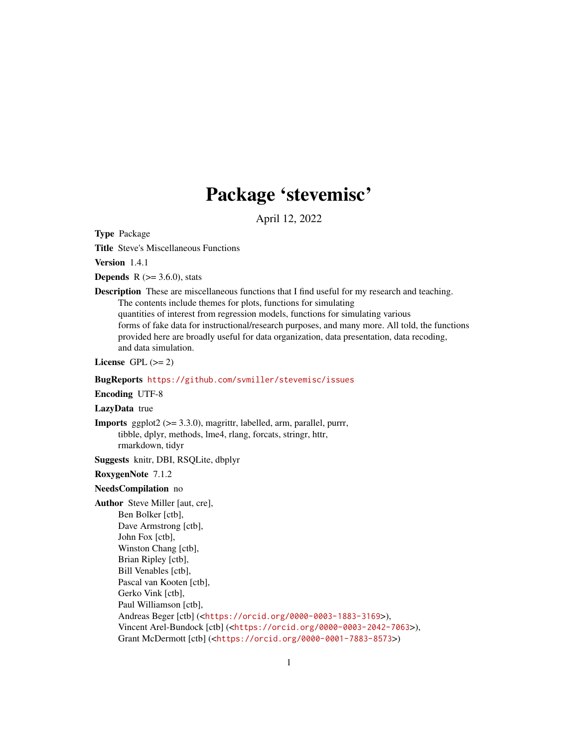## Package 'stevemisc'

April 12, 2022

<span id="page-0-0"></span>Type Package

Title Steve's Miscellaneous Functions

Version 1.4.1

**Depends** R  $(>= 3.6.0)$ , stats

**Description** These are miscellaneous functions that I find useful for my research and teaching. The contents include themes for plots, functions for simulating quantities of interest from regression models, functions for simulating various forms of fake data for instructional/research purposes, and many more. All told, the functions provided here are broadly useful for data organization, data presentation, data recoding, and data simulation.

License GPL  $(>= 2)$ 

## BugReports <https://github.com/svmiller/stevemisc/issues>

Encoding UTF-8

LazyData true

**Imports** ggplot $2$  ( $> = 3.3.0$ ), magrittr, labelled, arm, parallel, purrr, tibble, dplyr, methods, lme4, rlang, forcats, stringr, httr, rmarkdown, tidyr

Suggests knitr, DBI, RSQLite, dbplyr

RoxygenNote 7.1.2

## NeedsCompilation no

Author Steve Miller [aut, cre], Ben Bolker [ctb], Dave Armstrong [ctb], John Fox [ctb], Winston Chang [ctb], Brian Ripley [ctb], Bill Venables [ctb], Pascal van Kooten [ctb], Gerko Vink [ctb], Paul Williamson [ctb], Andreas Beger [ctb] (<<https://orcid.org/0000-0003-1883-3169>>), Vincent Arel-Bundock [ctb] (<<https://orcid.org/0000-0003-2042-7063>>), Grant McDermott [ctb] (<<https://orcid.org/0000-0001-7883-8573>>)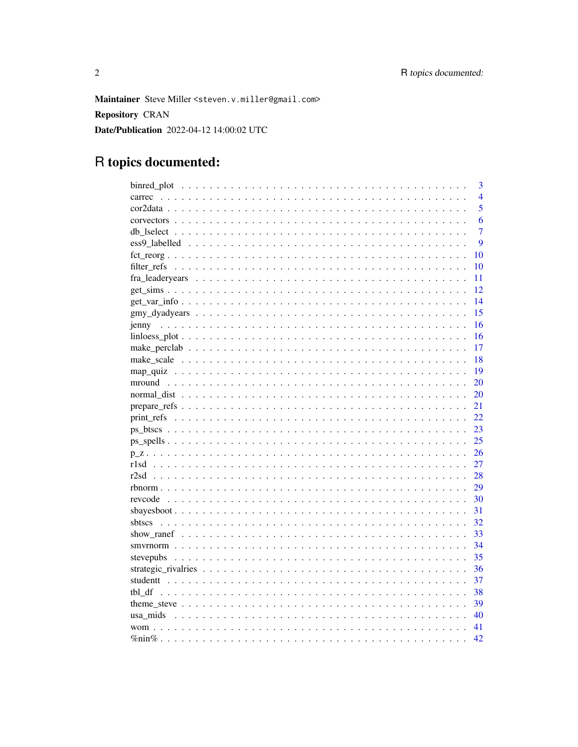Maintainer Steve Miller <steven.v.miller@gmail.com>

Repository CRAN

Date/Publication 2022-04-12 14:00:02 UTC

## R topics documented:

|              | 3              |
|--------------|----------------|
|              | $\overline{4}$ |
|              | 5              |
|              | 6              |
|              | $\overline{7}$ |
|              | 9              |
|              | 10             |
| 10           |                |
| 11           |                |
| 12           |                |
| 14           |                |
| 15           |                |
|              | 16             |
|              | 16             |
|              | 17             |
| 18           |                |
|              | 19             |
| 20           |                |
| 20           |                |
| 21           |                |
| 22           |                |
| 23           |                |
| 25           |                |
| 26           |                |
| 27           |                |
| 28<br>r2sd   |                |
| 29           |                |
| 30           |                |
| 31           |                |
| 32<br>shtscs |                |
| 33           |                |
| 34           |                |
| 35           |                |
| 36           |                |
| 37           |                |
| 38           |                |
| 39           |                |
| 40           |                |
| 41           |                |
| 42           |                |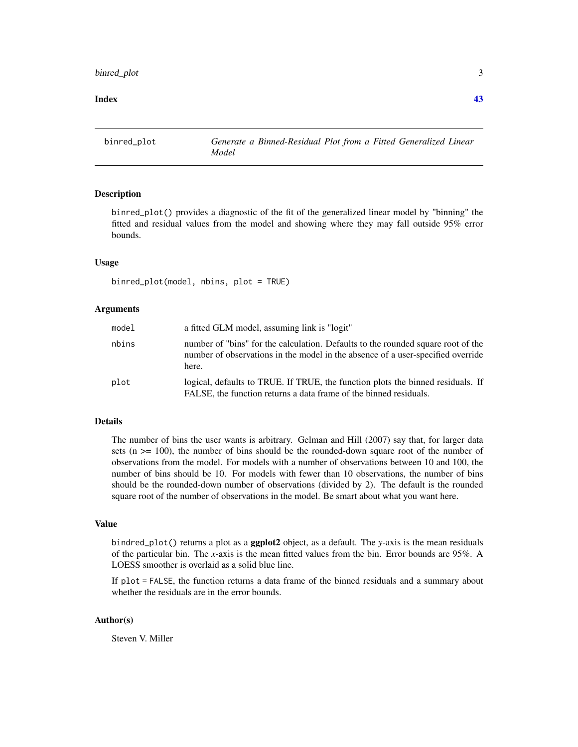## <span id="page-2-0"></span>binred\_plot 3

#### **Index** [43](#page-42-0)

binred\_plot *Generate a Binned-Residual Plot from a Fitted Generalized Linear Model*

#### Description

binred\_plot() provides a diagnostic of the fit of the generalized linear model by "binning" the fitted and residual values from the model and showing where they may fall outside 95% error bounds.

#### Usage

binred\_plot(model, nbins, plot = TRUE)

#### Arguments

| model | a fitted GLM model, assuming link is "logit"                                                                                                                                 |  |
|-------|------------------------------------------------------------------------------------------------------------------------------------------------------------------------------|--|
| nbins | number of "bins" for the calculation. Defaults to the rounded square root of the<br>number of observations in the model in the absence of a user-specified override<br>here. |  |
| plot  | logical, defaults to TRUE. If TRUE, the function plots the binned residuals. If<br>FALSE, the function returns a data frame of the binned residuals.                         |  |

## Details

The number of bins the user wants is arbitrary. Gelman and Hill (2007) say that, for larger data sets ( $n \geq 100$ ), the number of bins should be the rounded-down square root of the number of observations from the model. For models with a number of observations between 10 and 100, the number of bins should be 10. For models with fewer than 10 observations, the number of bins should be the rounded-down number of observations (divided by 2). The default is the rounded square root of the number of observations in the model. Be smart about what you want here.

## Value

bindred\_plot() returns a plot as a ggplot2 object, as a default. The *y*-axis is the mean residuals of the particular bin. The *x*-axis is the mean fitted values from the bin. Error bounds are 95%. A LOESS smoother is overlaid as a solid blue line.

If plot = FALSE, the function returns a data frame of the binned residuals and a summary about whether the residuals are in the error bounds.

## Author(s)

Steven V. Miller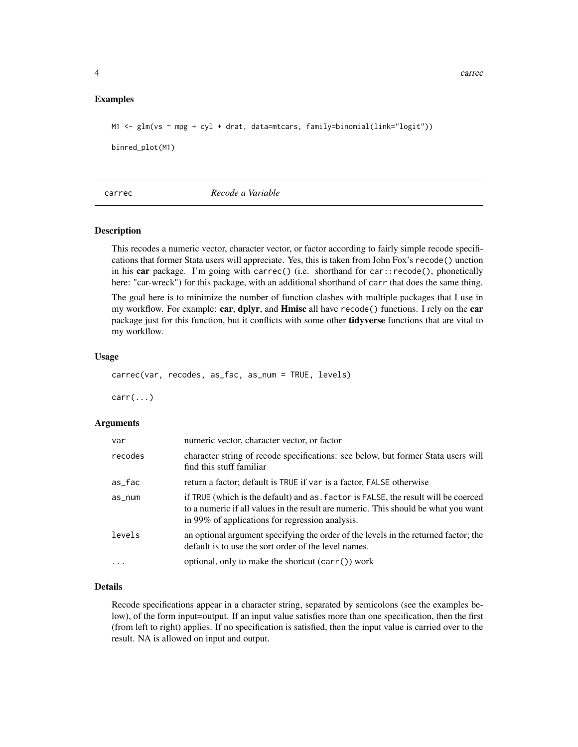#### <span id="page-3-0"></span>Examples

M1 <- glm(vs ~ mpg + cyl + drat, data=mtcars, family=binomial(link="logit")) binred\_plot(M1)

## carrec *Recode a Variable*

#### Description

This recodes a numeric vector, character vector, or factor according to fairly simple recode specifications that former Stata users will appreciate. Yes, this is taken from John Fox's recode() unction in his car package. I'm going with carrec() (i.e. shorthand for car::recode(), phonetically here: "car-wreck") for this package, with an additional shorthand of carr that does the same thing.

The goal here is to minimize the number of function clashes with multiple packages that I use in my workflow. For example: car, dplyr, and Hmisc all have recode() functions. I rely on the car package just for this function, but it conflicts with some other tidyverse functions that are vital to my workflow.

## Usage

carrec(var, recodes, as\_fac, as\_num = TRUE, levels)

 $carr(...)$ 

#### Arguments

| var        | numeric vector, character vector, or factor                                                                                                                                                                                 |  |
|------------|-----------------------------------------------------------------------------------------------------------------------------------------------------------------------------------------------------------------------------|--|
| recodes    | character string of recode specifications: see below, but former Stata users will<br>find this stuff familiar                                                                                                               |  |
| as_fac     | return a factor; default is TRUE if var is a factor, FALSE otherwise                                                                                                                                                        |  |
| $as_{num}$ | if TRUE (which is the default) and as, factor is FALSE, the result will be coerced<br>to a numeric if all values in the result are numeric. This should be what you want<br>in 99% of applications for regression analysis. |  |
| levels     | an optional argument specifying the order of the levels in the returned factor; the<br>default is to use the sort order of the level names.                                                                                 |  |
|            | optional, only to make the shortcut (carr()) work                                                                                                                                                                           |  |

#### Details

Recode specifications appear in a character string, separated by semicolons (see the examples below), of the form input=output. If an input value satisfies more than one specification, then the first (from left to right) applies. If no specification is satisfied, then the input value is carried over to the result. NA is allowed on input and output.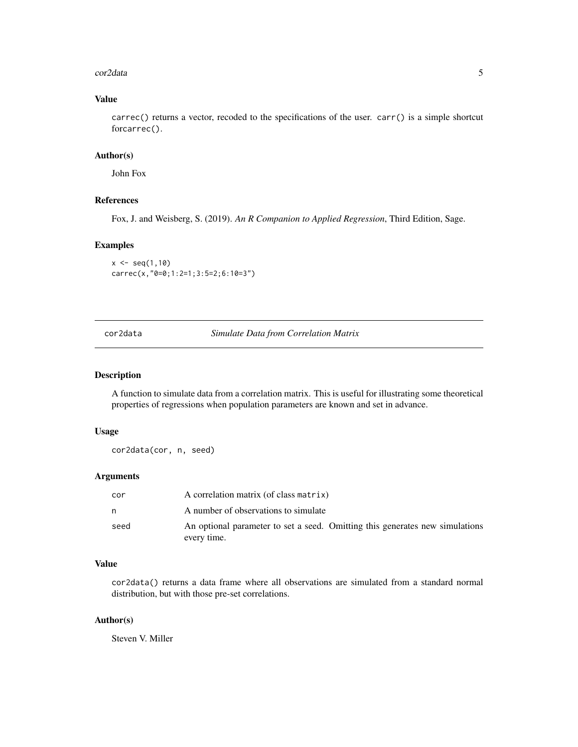#### <span id="page-4-0"></span>cor2data 5

## Value

carrec() returns a vector, recoded to the specifications of the user. carr() is a simple shortcut forcarrec().

## Author(s)

John Fox

## References

Fox, J. and Weisberg, S. (2019). *An R Companion to Applied Regression*, Third Edition, Sage.

## Examples

```
x \leq -\text{seq}(1,10)carrec(x,"0=0;1:2=1;3:5=2;6:10=3")
```
cor2data *Simulate Data from Correlation Matrix*

### Description

A function to simulate data from a correlation matrix. This is useful for illustrating some theoretical properties of regressions when population parameters are known and set in advance.

## Usage

cor2data(cor, n, seed)

## Arguments

| cor  | A correlation matrix (of class matrix)                                                      |
|------|---------------------------------------------------------------------------------------------|
| n    | A number of observations to simulate                                                        |
| seed | An optional parameter to set a seed. Omitting this generates new simulations<br>every time. |

## Value

cor2data() returns a data frame where all observations are simulated from a standard normal distribution, but with those pre-set correlations.

#### Author(s)

Steven V. Miller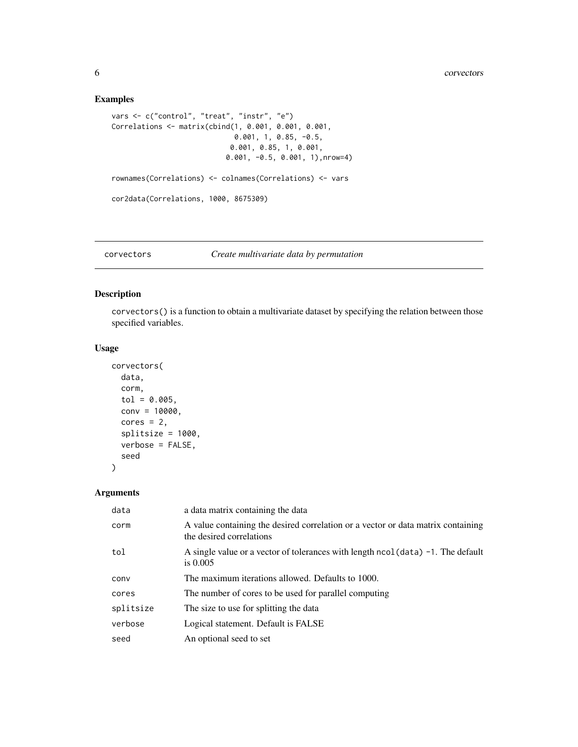## Examples

```
vars <- c("control", "treat", "instr", "e")
Correlations <- matrix(cbind(1, 0.001, 0.001, 0.001,
                             0.001, 1, 0.85, -0.5,
                            0.001, 0.85, 1, 0.001,
                           0.001, -0.5, 0.001, 1),nrow=4)
rownames(Correlations) <- colnames(Correlations) <- vars
cor2data(Correlations, 1000, 8675309)
```
## corvectors *Create multivariate data by permutation*

## Description

corvectors() is a function to obtain a multivariate dataset by specifying the relation between those specified variables.

## Usage

```
corvectors(
  data,
  corm,
  tol = 0.005,conv = 10000,
  cores = 2,splitsize = 1000,
  verbose = FALSE,
  seed
)
```
## Arguments

| data      | a data matrix containing the data                                                                            |
|-----------|--------------------------------------------------------------------------------------------------------------|
| corm      | A value containing the desired correlation or a vector or data matrix containing<br>the desired correlations |
| tol       | A single value or a vector of tolerances with length $ncol(data) -1$ . The default<br>is $0.005$             |
| conv      | The maximum iterations allowed. Defaults to 1000.                                                            |
| cores     | The number of cores to be used for parallel computing                                                        |
| splitsize | The size to use for splitting the data                                                                       |
| verbose   | Logical statement. Default is FALSE                                                                          |
| seed      | An optional seed to set                                                                                      |

<span id="page-5-0"></span>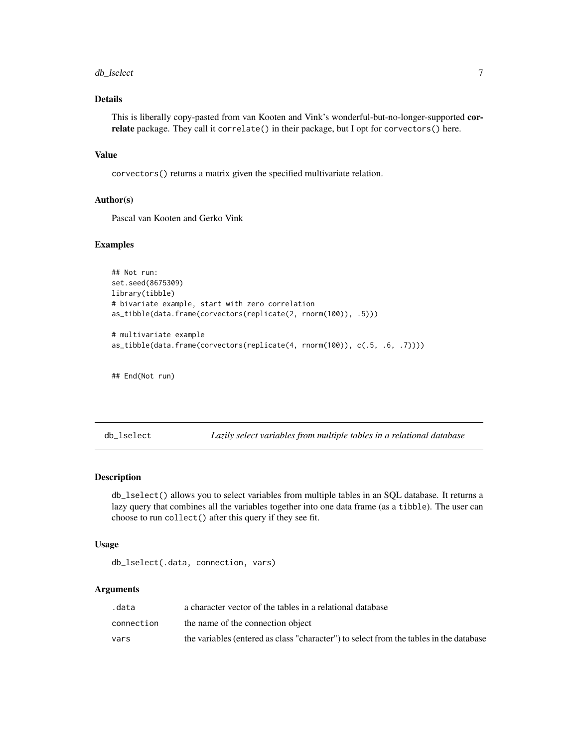#### <span id="page-6-0"></span>db\_lselect 7

## Details

This is liberally copy-pasted from van Kooten and Vink's wonderful-but-no-longer-supported correlate package. They call it correlate() in their package, but I opt for corvectors() here.

## Value

corvectors() returns a matrix given the specified multivariate relation.

#### Author(s)

Pascal van Kooten and Gerko Vink

## Examples

```
## Not run:
set.seed(8675309)
library(tibble)
# bivariate example, start with zero correlation
as_tibble(data.frame(corvectors(replicate(2, rnorm(100)), .5)))
# multivariate example
```
as\_tibble(data.frame(corvectors(replicate(4, rnorm(100)), c(.5, .6, .7))))

## End(Not run)

db\_lselect *Lazily select variables from multiple tables in a relational database*

### Description

db\_lselect() allows you to select variables from multiple tables in an SQL database. It returns a lazy query that combines all the variables together into one data frame (as a tibble). The user can choose to run collect() after this query if they see fit.

## Usage

db\_lselect(.data, connection, vars)

#### **Arguments**

| .data      | a character vector of the tables in a relational database                              |
|------------|----------------------------------------------------------------------------------------|
| connection | the name of the connection object                                                      |
| vars       | the variables (entered as class "character") to select from the tables in the database |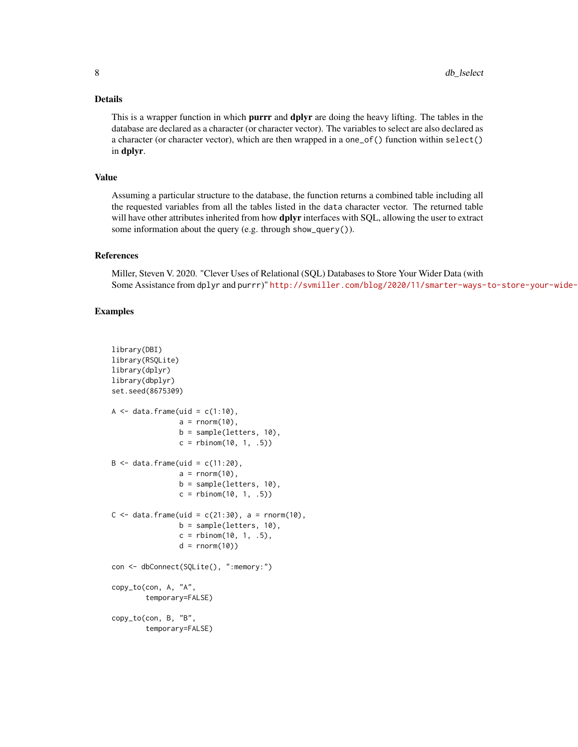#### Details

This is a wrapper function in which **purrr** and **dplyr** are doing the heavy lifting. The tables in the database are declared as a character (or character vector). The variables to select are also declared as a character (or character vector), which are then wrapped in a one\_of() function within select() in dplyr.

## Value

Assuming a particular structure to the database, the function returns a combined table including all the requested variables from all the tables listed in the data character vector. The returned table will have other attributes inherited from how **dplyr** interfaces with SQL, allowing the user to extract some information about the query (e.g. through show\_query()).

#### References

Miller, Steven V. 2020. "Clever Uses of Relational (SQL) Databases to Store Your Wider Data (with Some Assistance from dplyr and purrr)" http://svmiller.com/blog/2020/11/smarter-ways-to-store-your-wide-

## Examples

```
library(DBI)
library(RSQLite)
library(dplyr)
library(dbplyr)
set.seed(8675309)
A \leq data.frame(uid = c(1:10),
                a = \text{norm}(10),
                b = sample(letters, 10),
                c = rbinom(10, 1, .5))
B \le - data.frame(uid = c(11:20),
                a = rnorm(10),
                b = sample(letters, 10),
                c = rbinom(10, 1, .5))
C \le - data.frame(uid = c(21:30), a = rnorm(10),
                b = sample(letters, 10),
                c = rbinom(10, 1, .5),
                d = rnorm(10))
con <- dbConnect(SQLite(), ":memory:")
copy_to(con, A, "A",
        temporary=FALSE)
copy_to(con, B, "B",
        temporary=FALSE)
```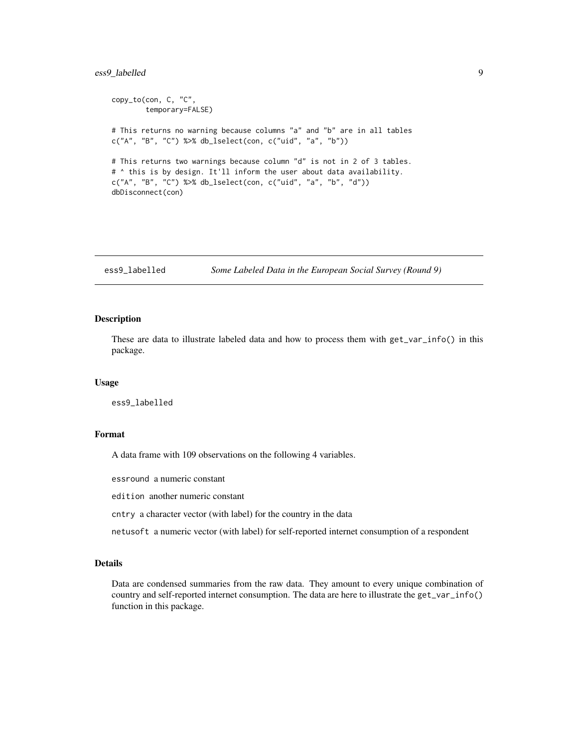## <span id="page-8-0"></span>ess9\_labelled 9

```
copy_to(con, C, "C",
       temporary=FALSE)
# This returns no warning because columns "a" and "b" are in all tables
c("A", "B", "C") %>% db_lselect(con, c("uid", "a", "b"))
# This returns two warnings because column "d" is not in 2 of 3 tables.
# ^ this is by design. It'll inform the user about data availability.
c("A", "B", "C") %>% db_lselect(con, c("uid", "a", "b", "d"))
dbDisconnect(con)
```
ess9\_labelled *Some Labeled Data in the European Social Survey (Round 9)*

#### Description

These are data to illustrate labeled data and how to process them with get\_var\_info() in this package.

#### Usage

ess9\_labelled

## Format

A data frame with 109 observations on the following 4 variables.

essround a numeric constant

edition another numeric constant

cntry a character vector (with label) for the country in the data

netusoft a numeric vector (with label) for self-reported internet consumption of a respondent

#### Details

Data are condensed summaries from the raw data. They amount to every unique combination of country and self-reported internet consumption. The data are here to illustrate the get\_var\_info() function in this package.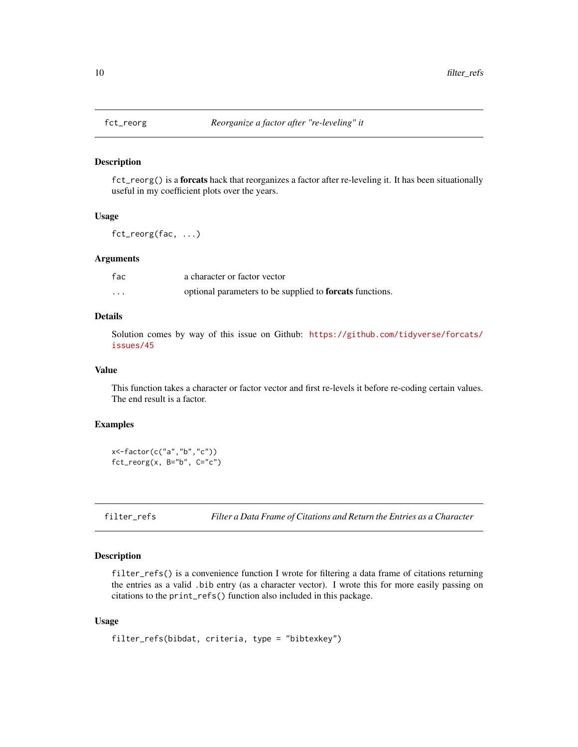<span id="page-9-0"></span>

fct\_reorg() is a forcats hack that reorganizes a factor after re-leveling it. It has been situationally useful in my coefficient plots over the years.

#### Usage

fct\_reorg(fac, ...)

#### Arguments

| fac      | a character or factor vector                             |
|----------|----------------------------------------------------------|
| $\cdots$ | optional parameters to be supplied to forcats functions. |

## Details

Solution comes by way of this issue on Github: [https://github.com/tidyverse/forcats/](https://github.com/tidyverse/forcats/issues/45) [issues/45](https://github.com/tidyverse/forcats/issues/45)

#### Value

This function takes a character or factor vector and first re-levels it before re-coding certain values. The end result is a factor.

## Examples

x<-factor(c("a","b","c")) fct\_reorg(x, B="b", C="c")

filter\_refs *Filter a Data Frame of Citations and Return the Entries as a Character*

## Description

filter\_refs() is a convenience function I wrote for filtering a data frame of citations returning the entries as a valid .bib entry (as a character vector). I wrote this for more easily passing on citations to the print\_refs() function also included in this package.

#### Usage

```
filter_refs(bibdat, criteria, type = "bibtexkey")
```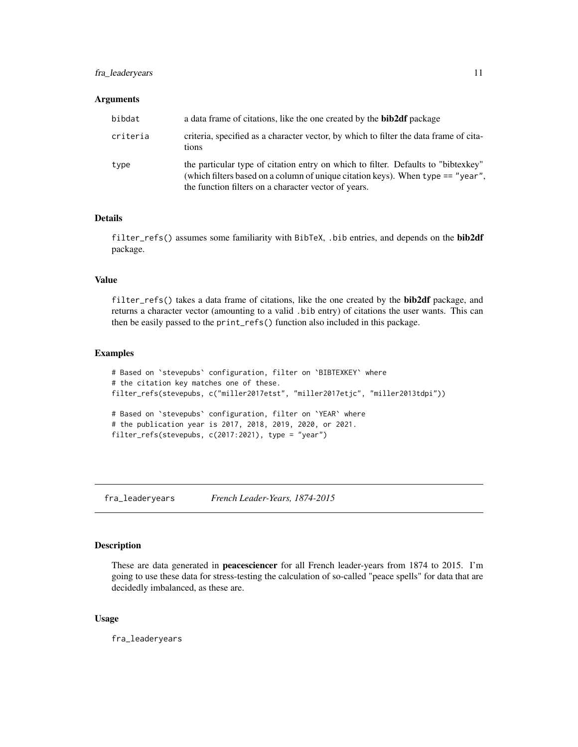## <span id="page-10-0"></span>fra\_leaderyears 11

#### **Arguments**

| bibdat   | a data frame of citations, like the one created by the <b>bib2df</b> package                                                                                                                                                 |  |
|----------|------------------------------------------------------------------------------------------------------------------------------------------------------------------------------------------------------------------------------|--|
| criteria | criteria, specified as a character vector, by which to filter the data frame of cita-<br>tions                                                                                                                               |  |
| type     | the particular type of citation entry on which to filter. Defaults to "bibtexkey"<br>(which filters based on a column of unique citation keys). When type == "year",<br>the function filters on a character vector of years. |  |

## Details

filter\_refs() assumes some familiarity with BibTeX, .bib entries, and depends on the bib2df package.

## Value

filter\_refs() takes a data frame of citations, like the one created by the bib2df package, and returns a character vector (amounting to a valid .bib entry) of citations the user wants. This can then be easily passed to the print\_refs() function also included in this package.

## Examples

```
# Based on `stevepubs` configuration, filter on `BIBTEXKEY` where
# the citation key matches one of these.
filter_refs(stevepubs, c("miller2017etst", "miller2017etjc", "miller2013tdpi"))
# Based on `stevepubs` configuration, filter on `YEAR` where
# the publication year is 2017, 2018, 2019, 2020, or 2021.
filter_refs(stevepubs, c(2017:2021), type = "year")
```
fra\_leaderyears *French Leader-Years, 1874-2015*

## Description

These are data generated in peacesciencer for all French leader-years from 1874 to 2015. I'm going to use these data for stress-testing the calculation of so-called "peace spells" for data that are decidedly imbalanced, as these are.

#### Usage

fra\_leaderyears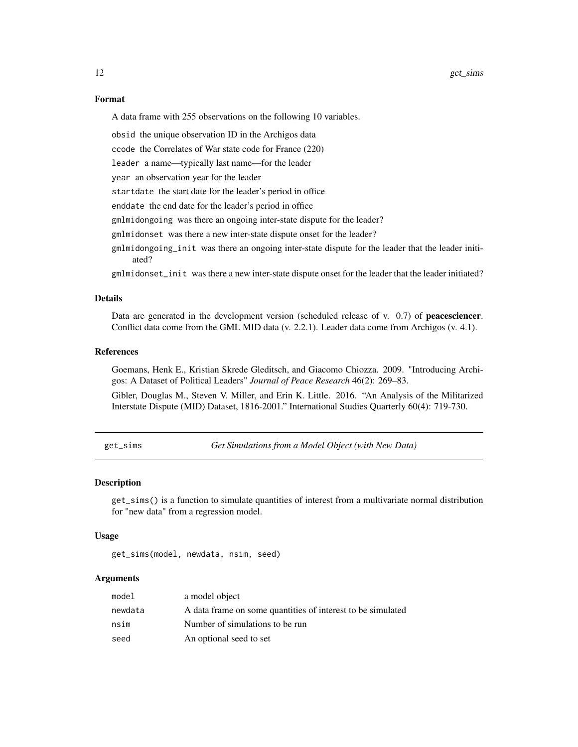#### Format

A data frame with 255 observations on the following 10 variables.

obsid the unique observation ID in the Archigos data

ccode the Correlates of War state code for France (220)

leader a name—typically last name—for the leader

year an observation year for the leader

startdate the start date for the leader's period in office

enddate the end date for the leader's period in office

gmlmidongoing was there an ongoing inter-state dispute for the leader?

gmlmidonset was there a new inter-state dispute onset for the leader?

gmlmidongoing\_init was there an ongoing inter-state dispute for the leader that the leader initiated?

gmlmidonset\_init was there a new inter-state dispute onset for the leader that the leader initiated?

#### Details

Data are generated in the development version (scheduled release of v. 0.7) of **peacesciencer**. Conflict data come from the GML MID data (v. 2.2.1). Leader data come from Archigos (v. 4.1).

## References

Goemans, Henk E., Kristian Skrede Gleditsch, and Giacomo Chiozza. 2009. "Introducing Archigos: A Dataset of Political Leaders" *Journal of Peace Research* 46(2): 269–83.

Gibler, Douglas M., Steven V. Miller, and Erin K. Little. 2016. "An Analysis of the Militarized Interstate Dispute (MID) Dataset, 1816-2001." International Studies Quarterly 60(4): 719-730.

get\_sims *Get Simulations from a Model Object (with New Data)*

#### Description

get\_sims() is a function to simulate quantities of interest from a multivariate normal distribution for "new data" from a regression model.

#### Usage

get\_sims(model, newdata, nsim, seed)

## Arguments

| model   | a model object                                              |
|---------|-------------------------------------------------------------|
| newdata | A data frame on some quantities of interest to be simulated |
| nsim    | Number of simulations to be run                             |
| seed    | An optional seed to set                                     |

<span id="page-11-0"></span>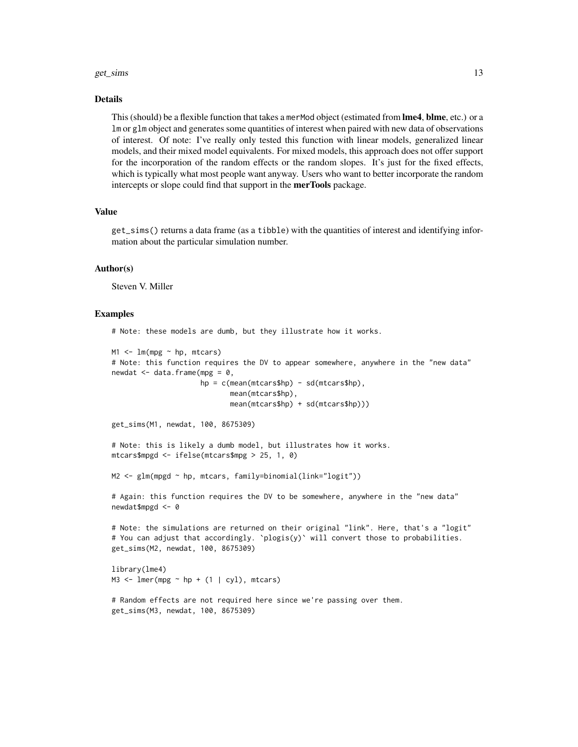#### get\_sims 13

#### Details

This (should) be a flexible function that takes a merMod object (estimated from lme4, blme, etc.) or a lm or glm object and generates some quantities of interest when paired with new data of observations of interest. Of note: I've really only tested this function with linear models, generalized linear models, and their mixed model equivalents. For mixed models, this approach does not offer support for the incorporation of the random effects or the random slopes. It's just for the fixed effects, which is typically what most people want anyway. Users who want to better incorporate the random intercepts or slope could find that support in the merTools package.

## Value

get\_sims() returns a data frame (as a tibble) with the quantities of interest and identifying information about the particular simulation number.

#### Author(s)

Steven V. Miller

#### Examples

# Note: these models are dumb, but they illustrate how it works.

```
M1 \leq -\ln(mpg \sim hp, mtears)# Note: this function requires the DV to appear somewhere, anywhere in the "new data"
newdat \leq data.frame(mpg = 0,
                      hp = c(mean(mtcars$hp) - sd(mtcars$hp),mean(mtcars$hp),
                             mean(mtcars$hp) + sd(mtcars$hp)))
```

```
get_sims(M1, newdat, 100, 8675309)
```

```
# Note: this is likely a dumb model, but illustrates how it works.
mtcars$mpgd <- ifelse(mtcars$mpg > 25, 1, 0)
```

```
M2 <- glm(mpgd ~ hp, mtcars, family=binomial(link="logit"))
```
# Again: this function requires the DV to be somewhere, anywhere in the "new data" newdat\$mpgd <- 0

```
# Note: the simulations are returned on their original "link". Here, that's a "logit"
# You can adjust that accordingly. `plogis(y)` will convert those to probabilities.
get_sims(M2, newdat, 100, 8675309)
```

```
library(lme4)
M3 \le - lmer(mpg \sim hp + (1 | cyl), mtcars)
```

```
# Random effects are not required here since we're passing over them.
get_sims(M3, newdat, 100, 8675309)
```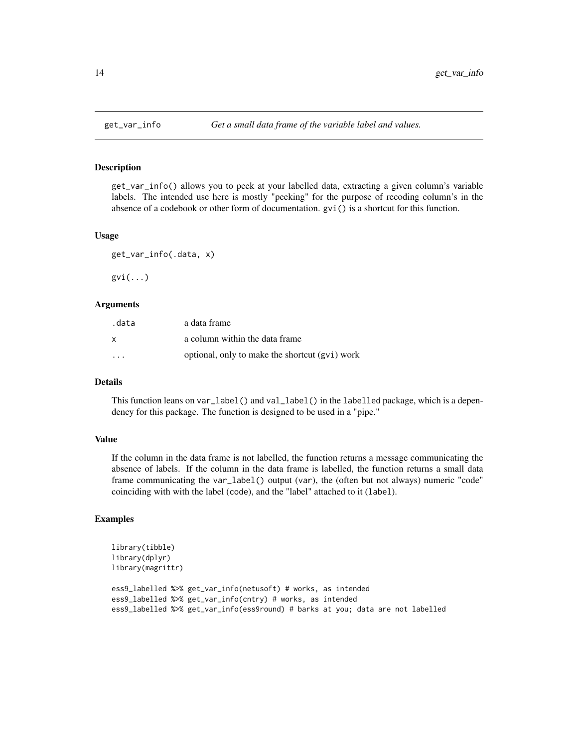<span id="page-13-0"></span>

get\_var\_info() allows you to peek at your labelled data, extracting a given column's variable labels. The intended use here is mostly "peeking" for the purpose of recoding column's in the absence of a codebook or other form of documentation. gvi() is a shortcut for this function.

#### Usage

get\_var\_info(.data, x)

 $gvi(...)$ 

## Arguments

| .data                   | a data frame                                   |
|-------------------------|------------------------------------------------|
| X                       | a column within the data frame                 |
| $\cdot$ $\cdot$ $\cdot$ | optional, only to make the shortcut (gvi) work |

## **Details**

This function leans on var\_label() and val\_label() in the labelled package, which is a dependency for this package. The function is designed to be used in a "pipe."

## Value

If the column in the data frame is not labelled, the function returns a message communicating the absence of labels. If the column in the data frame is labelled, the function returns a small data frame communicating the var\_label() output (var), the (often but not always) numeric "code" coinciding with with the label (code), and the "label" attached to it (label).

## Examples

```
library(tibble)
library(dplyr)
library(magrittr)
ess9_labelled %>% get_var_info(netusoft) # works, as intended
ess9_labelled %>% get_var_info(cntry) # works, as intended
ess9_labelled %>% get_var_info(ess9round) # barks at you; data are not labelled
```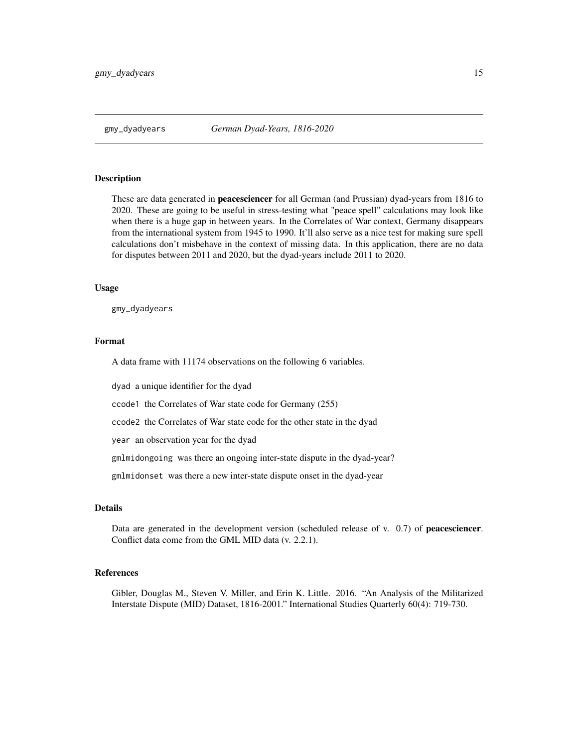<span id="page-14-0"></span>

These are data generated in peacesciencer for all German (and Prussian) dyad-years from 1816 to 2020. These are going to be useful in stress-testing what "peace spell" calculations may look like when there is a huge gap in between years. In the Correlates of War context, Germany disappears from the international system from 1945 to 1990. It'll also serve as a nice test for making sure spell calculations don't misbehave in the context of missing data. In this application, there are no data for disputes between 2011 and 2020, but the dyad-years include 2011 to 2020.

#### Usage

gmy\_dyadyears

## Format

A data frame with 11174 observations on the following 6 variables.

dyad a unique identifier for the dyad

ccode1 the Correlates of War state code for Germany (255)

ccode2 the Correlates of War state code for the other state in the dyad

year an observation year for the dyad

gmlmidongoing was there an ongoing inter-state dispute in the dyad-year?

gmlmidonset was there a new inter-state dispute onset in the dyad-year

## Details

Data are generated in the development version (scheduled release of v. 0.7) of peacesciencer. Conflict data come from the GML MID data (v. 2.2.1).

## References

Gibler, Douglas M., Steven V. Miller, and Erin K. Little. 2016. "An Analysis of the Militarized Interstate Dispute (MID) Dataset, 1816-2001." International Studies Quarterly 60(4): 719-730.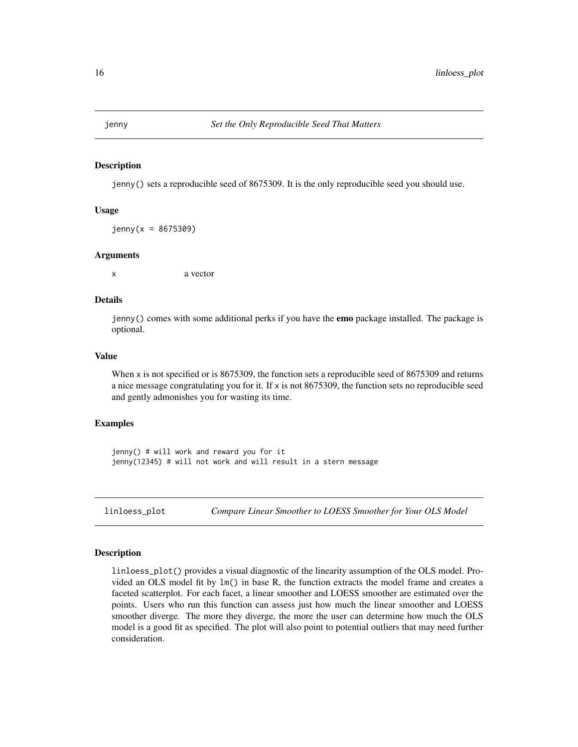<span id="page-15-0"></span>

jenny() sets a reproducible seed of 8675309. It is the only reproducible seed you should use.

#### Usage

 $jenny(x = 8675309)$ 

#### Arguments

x a vector

## Details

jenny() comes with some additional perks if you have the **emo** package installed. The package is optional.

#### Value

When x is not specified or is 8675309, the function sets a reproducible seed of 8675309 and returns a nice message congratulating you for it. If  $x$  is not 8675309, the function sets no reproducible seed and gently admonishes you for wasting its time.

## Examples

jenny() # will work and reward you for it jenny(12345) # will not work and will result in a stern message

linloess\_plot *Compare Linear Smoother to LOESS Smoother for Your OLS Model*

#### **Description**

linloess\_plot() provides a visual diagnostic of the linearity assumption of the OLS model. Provided an OLS model fit by lm() in base R, the function extracts the model frame and creates a faceted scatterplot. For each facet, a linear smoother and LOESS smoother are estimated over the points. Users who run this function can assess just how much the linear smoother and LOESS smoother diverge. The more they diverge, the more the user can determine how much the OLS model is a good fit as specified. The plot will also point to potential outliers that may need further consideration.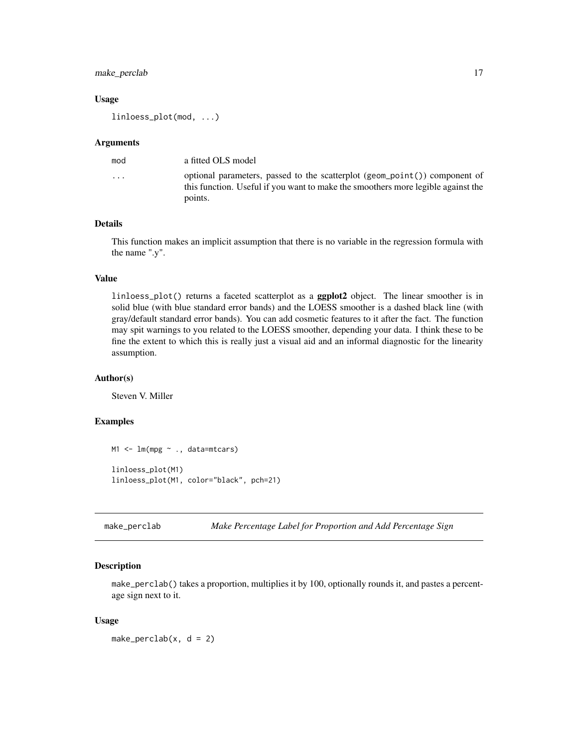## <span id="page-16-0"></span>make\_perclab 17

#### Usage

linloess\_plot(mod, ...)

#### Arguments

| mod     | a fitted OLS model                                                                                                                                                        |
|---------|---------------------------------------------------------------------------------------------------------------------------------------------------------------------------|
| $\cdot$ | optional parameters, passed to the scatterplot (geom_point()) component of<br>this function. Useful if you want to make the smoothers more legible against the<br>points. |
|         |                                                                                                                                                                           |

## Details

This function makes an implicit assumption that there is no variable in the regression formula with the name ".y".

#### Value

linloess\_plot() returns a faceted scatterplot as a ggplot2 object. The linear smoother is in solid blue (with blue standard error bands) and the LOESS smoother is a dashed black line (with gray/default standard error bands). You can add cosmetic features to it after the fact. The function may spit warnings to you related to the LOESS smoother, depending your data. I think these to be fine the extent to which this is really just a visual aid and an informal diagnostic for the linearity assumption.

#### Author(s)

Steven V. Miller

## Examples

```
M1 <- lm(mpg ~ ., data=mtcars)
linloess_plot(M1)
linloess_plot(M1, color="black", pch=21)
```
make\_perclab *Make Percentage Label for Proportion and Add Percentage Sign*

## Description

make\_perclab() takes a proportion, multiplies it by 100, optionally rounds it, and pastes a percentage sign next to it.

#### Usage

make\_perclab( $x$ ,  $d = 2$ )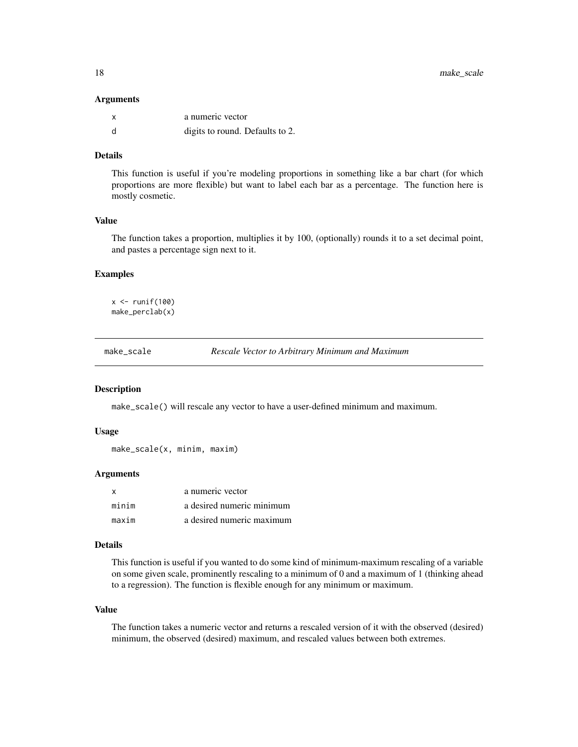#### <span id="page-17-0"></span>**Arguments**

|   | a numeric vector                |
|---|---------------------------------|
| d | digits to round. Defaults to 2. |

## Details

This function is useful if you're modeling proportions in something like a bar chart (for which proportions are more flexible) but want to label each bar as a percentage. The function here is mostly cosmetic.

## Value

The function takes a proportion, multiplies it by 100, (optionally) rounds it to a set decimal point, and pastes a percentage sign next to it.

## Examples

 $x \leftarrow runif(100)$ make\_perclab(x)

make\_scale *Rescale Vector to Arbitrary Minimum and Maximum*

## Description

make\_scale() will rescale any vector to have a user-defined minimum and maximum.

#### Usage

```
make_scale(x, minim, maxim)
```
## Arguments

| x     | a numeric vector          |
|-------|---------------------------|
| minim | a desired numeric minimum |
| maxim | a desired numeric maximum |

## Details

This function is useful if you wanted to do some kind of minimum-maximum rescaling of a variable on some given scale, prominently rescaling to a minimum of 0 and a maximum of 1 (thinking ahead to a regression). The function is flexible enough for any minimum or maximum.

#### Value

The function takes a numeric vector and returns a rescaled version of it with the observed (desired) minimum, the observed (desired) maximum, and rescaled values between both extremes.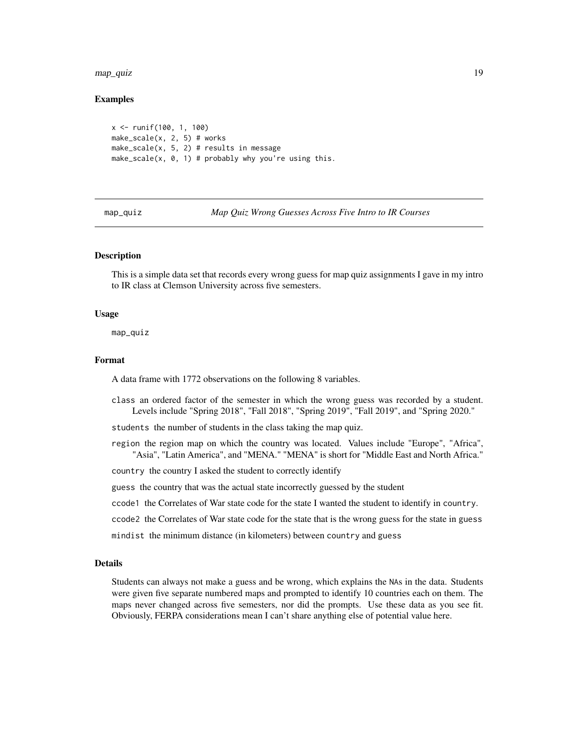<span id="page-18-0"></span>map\_quiz the control of the control of the control of the control of the control of the control of the control of the control of the control of the control of the control of the control of the control of the control of the

## Examples

```
x <- runif(100, 1, 100)
make_scale(x, 2, 5) # works
make_scale(x, 5, 2) # results in message
make_scale(x, 0, 1) # probably why you're using this.
```
map\_quiz *Map Quiz Wrong Guesses Across Five Intro to IR Courses*

## **Description**

This is a simple data set that records every wrong guess for map quiz assignments I gave in my intro to IR class at Clemson University across five semesters.

#### Usage

map\_quiz

#### Format

A data frame with 1772 observations on the following 8 variables.

class an ordered factor of the semester in which the wrong guess was recorded by a student. Levels include "Spring 2018", "Fall 2018", "Spring 2019", "Fall 2019", and "Spring 2020."

students the number of students in the class taking the map quiz.

region the region map on which the country was located. Values include "Europe", "Africa", "Asia", "Latin America", and "MENA." "MENA" is short for "Middle East and North Africa."

country the country I asked the student to correctly identify

guess the country that was the actual state incorrectly guessed by the student

ccode1 the Correlates of War state code for the state I wanted the student to identify in country.

ccode2 the Correlates of War state code for the state that is the wrong guess for the state in guess

mindist the minimum distance (in kilometers) between country and guess

## **Details**

Students can always not make a guess and be wrong, which explains the NAs in the data. Students were given five separate numbered maps and prompted to identify 10 countries each on them. The maps never changed across five semesters, nor did the prompts. Use these data as you see fit. Obviously, FERPA considerations mean I can't share anything else of potential value here.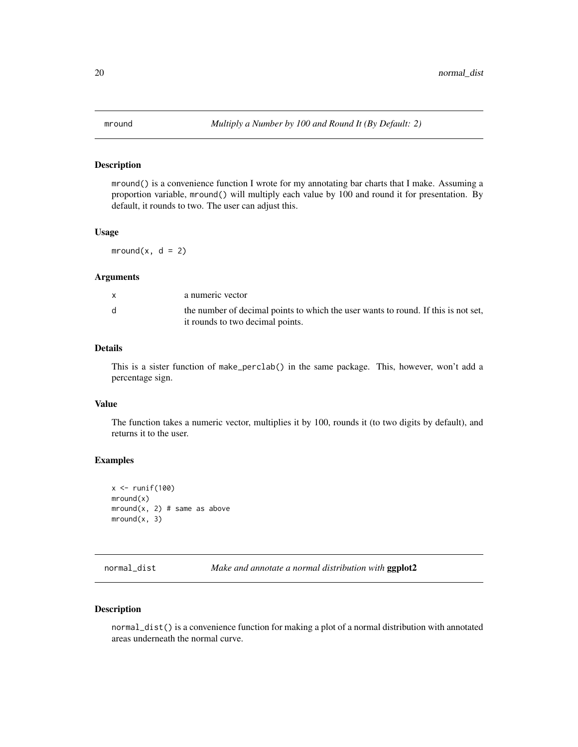<span id="page-19-0"></span>

mround() is a convenience function I wrote for my annotating bar charts that I make. Assuming a proportion variable, mround() will multiply each value by 100 and round it for presentation. By default, it rounds to two. The user can adjust this.

## Usage

mround $(x, d = 2)$ 

## Arguments

| a numeric vector                                                                   |
|------------------------------------------------------------------------------------|
| the number of decimal points to which the user wants to round. If this is not set, |
| it rounds to two decimal points.                                                   |

## Details

This is a sister function of make\_perclab() in the same package. This, however, won't add a percentage sign.

## Value

The function takes a numeric vector, multiplies it by 100, rounds it (to two digits by default), and returns it to the user.

#### Examples

```
x \leftarrow runif(100)mround(x)
mround(x, 2) # same as above
mround(x, 3)
```
normal\_dist *Make and annotate a normal distribution with* ggplot2

#### Description

normal\_dist() is a convenience function for making a plot of a normal distribution with annotated areas underneath the normal curve.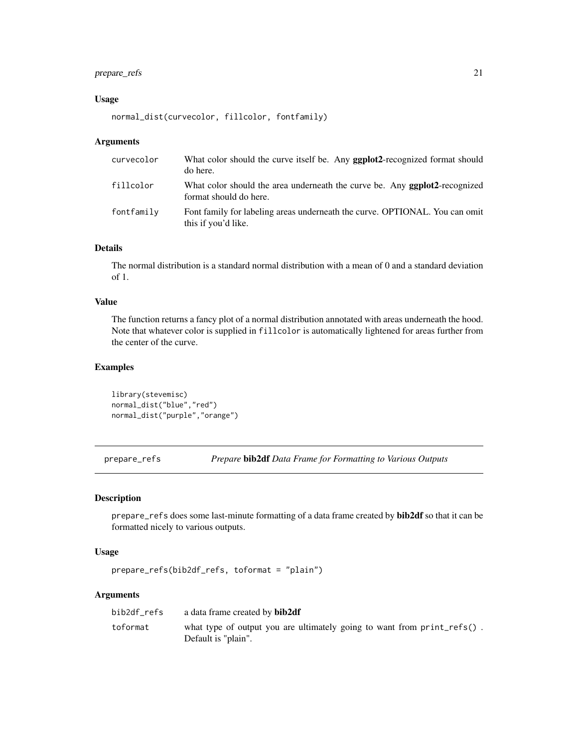## <span id="page-20-0"></span>prepare\_refs 21

## Usage

```
normal_dist(curvecolor, fillcolor, fontfamily)
```
#### Arguments

| curvecolor | What color should the curve itself be. Any <b>ggplot2</b> -recognized format should<br>do here.              |
|------------|--------------------------------------------------------------------------------------------------------------|
| fillcolor  | What color should the area underneath the curve be. Any <b>geplot2</b> -recognized<br>format should do here. |
| fontfamily | Font family for labeling areas underneath the curve. OPTIONAL. You can omit<br>this if you'd like.           |

## Details

The normal distribution is a standard normal distribution with a mean of 0 and a standard deviation of 1.

## Value

The function returns a fancy plot of a normal distribution annotated with areas underneath the hood. Note that whatever color is supplied in fillcolor is automatically lightened for areas further from the center of the curve.

## Examples

library(stevemisc) normal\_dist("blue","red") normal\_dist("purple","orange")

prepare\_refs *Prepare* bib2df *Data Frame for Formatting to Various Outputs*

## Description

prepare\_refs does some last-minute formatting of a data frame created by bib2df so that it can be formatted nicely to various outputs.

#### Usage

```
prepare_refs(bib2df_refs, toformat = "plain")
```
#### Arguments

| bib2df refs | a data frame created by <b>bib2df</b>                                                             |
|-------------|---------------------------------------------------------------------------------------------------|
| toformat    | what type of output you are ultimately going to want from $print_refs()$ .<br>Default is "plain". |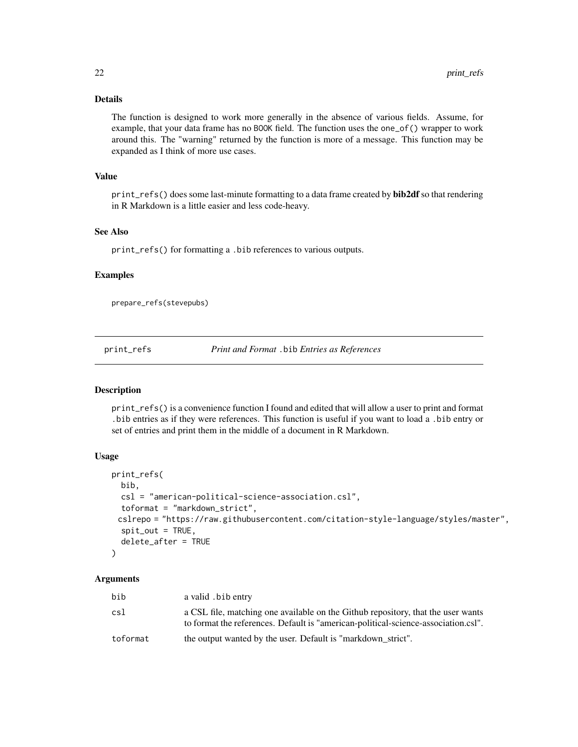## <span id="page-21-0"></span>Details

The function is designed to work more generally in the absence of various fields. Assume, for example, that your data frame has no BOOK field. The function uses the one\_of() wrapper to work around this. The "warning" returned by the function is more of a message. This function may be expanded as I think of more use cases.

#### Value

print\_refs() does some last-minute formatting to a data frame created by **bib2df** so that rendering in R Markdown is a little easier and less code-heavy.

#### See Also

print\_refs() for formatting a .bib references to various outputs.

### Examples

prepare\_refs(stevepubs)

print\_refs *Print and Format* .bib *Entries as References*

#### Description

print\_refs() is a convenience function I found and edited that will allow a user to print and format .bib entries as if they were references. This function is useful if you want to load a .bib entry or set of entries and print them in the middle of a document in R Markdown.

## Usage

```
print_refs(
 bib,
 csl = "american-political-science-association.csl",
  toformat = "markdown_strict",
 cslrepo = "https://raw.githubusercontent.com/citation-style-language/styles/master",
  split_out = TRUE,
  delete_after = TRUE
)
```
#### Arguments

| bib      | a valid. bib entry                                                                                                                                                     |
|----------|------------------------------------------------------------------------------------------------------------------------------------------------------------------------|
| csl      | a CSL file, matching one available on the Github repository, that the user wants<br>to format the references. Default is "american-political-science-association.csl". |
| toformat | the output wanted by the user. Default is "markdown strict".                                                                                                           |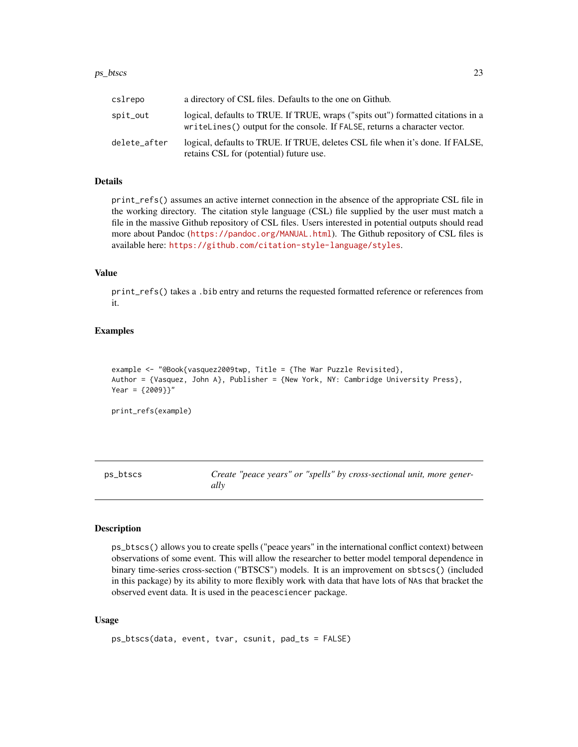#### <span id="page-22-0"></span> $ps\_btscs$  23

| cslrepo      | a directory of CSL files. Defaults to the one on Github.                                                                                                       |
|--------------|----------------------------------------------------------------------------------------------------------------------------------------------------------------|
| spit_out     | logical, defaults to TRUE. If TRUE, wraps ("spits out") formatted citations in a<br>writeLines() output for the console. If FALSE, returns a character vector. |
| delete_after | logical, defaults to TRUE. If TRUE, deletes CSL file when it's done. If FALSE,<br>retains CSL for (potential) future use.                                      |

### Details

print\_refs() assumes an active internet connection in the absence of the appropriate CSL file in the working directory. The citation style language (CSL) file supplied by the user must match a file in the massive Github repository of CSL files. Users interested in potential outputs should read more about Pandoc (<https://pandoc.org/MANUAL.html>). The Github repository of CSL files is available here: <https://github.com/citation-style-language/styles>.

#### Value

print\_refs() takes a .bib entry and returns the requested formatted reference or references from it.

#### Examples

```
example <- "@Book{vasquez2009twp, Title = {The War Puzzle Revisited},
Author = {Vasquez, John A}, Publisher = {New York, NY: Cambridge University Press},
Year = {2009}}"
```
print\_refs(example)

ps\_btscs *Create "peace years" or "spells" by cross-sectional unit, more generally*

## Description

ps\_btscs() allows you to create spells ("peace years" in the international conflict context) between observations of some event. This will allow the researcher to better model temporal dependence in binary time-series cross-section ("BTSCS") models. It is an improvement on sbtscs() (included in this package) by its ability to more flexibly work with data that have lots of NAs that bracket the observed event data. It is used in the peacesciencer package.

#### Usage

```
ps_btscs(data, event, tvar, csunit, pad_ts = FALSE)
```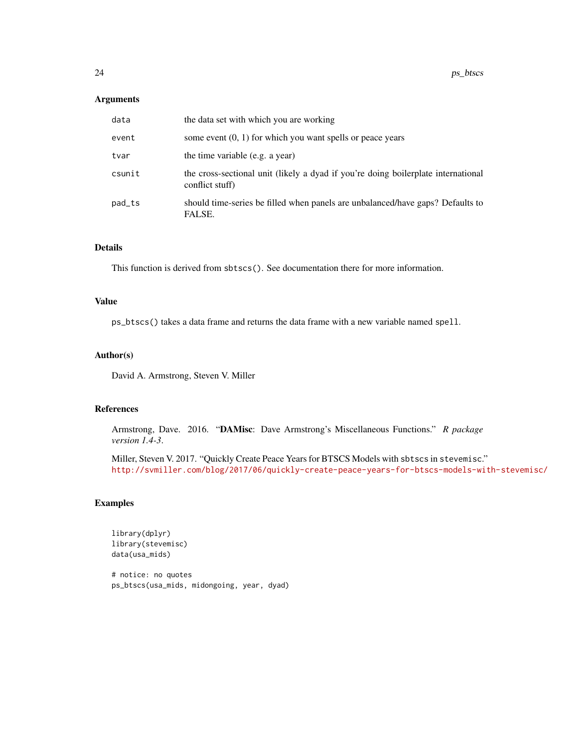#### Arguments

| data   | the data set with which you are working                                                              |
|--------|------------------------------------------------------------------------------------------------------|
| event  | some event $(0, 1)$ for which you want spells or peace years                                         |
| tvar   | the time variable (e.g. a year)                                                                      |
| csunit | the cross-sectional unit (likely a dyad if you're doing boilerplate international<br>conflict stuff) |
| pad_ts | should time-series be filled when panels are unbalanced/have gaps? Defaults to<br>FALSE.             |

## Details

This function is derived from sbtscs(). See documentation there for more information.

## Value

ps\_btscs() takes a data frame and returns the data frame with a new variable named spell.

## Author(s)

David A. Armstrong, Steven V. Miller

#### References

Armstrong, Dave. 2016. "DAMisc: Dave Armstrong's Miscellaneous Functions." *R package version 1.4-3*.

Miller, Steven V. 2017. "Quickly Create Peace Years for BTSCS Models with sbtscs in stevemisc." <http://svmiller.com/blog/2017/06/quickly-create-peace-years-for-btscs-models-with-stevemisc/>

## Examples

```
library(dplyr)
library(stevemisc)
data(usa_mids)
```
# notice: no quotes ps\_btscs(usa\_mids, midongoing, year, dyad)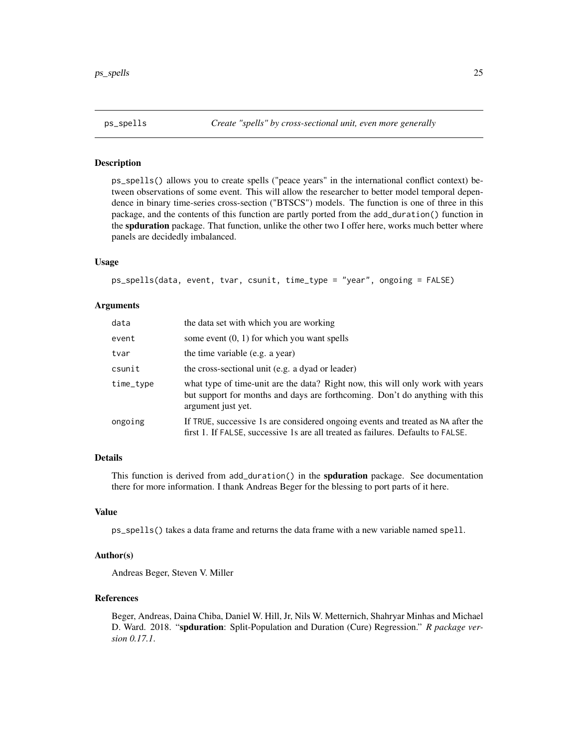<span id="page-24-0"></span>

ps\_spells() allows you to create spells ("peace years" in the international conflict context) between observations of some event. This will allow the researcher to better model temporal dependence in binary time-series cross-section ("BTSCS") models. The function is one of three in this package, and the contents of this function are partly ported from the add\_duration() function in the spduration package. That function, unlike the other two I offer here, works much better where panels are decidedly imbalanced.

#### Usage

ps\_spells(data, event, tvar, csunit, time\_type = "year", ongoing = FALSE)

#### Arguments

| data      | the data set with which you are working                                                                                                                                              |
|-----------|--------------------------------------------------------------------------------------------------------------------------------------------------------------------------------------|
| event     | some event $(0, 1)$ for which you want spells                                                                                                                                        |
| tvar      | the time variable (e.g. a year)                                                                                                                                                      |
| csunit    | the cross-sectional unit (e.g. a dyad or leader)                                                                                                                                     |
| time_type | what type of time-unit are the data? Right now, this will only work with years<br>but support for months and days are forthcoming. Don't do anything with this<br>argument just yet. |
| ongoing   | If TRUE, successive 1s are considered ongoing events and treated as NA after the<br>first 1. If FALSE, successive 1s are all treated as failures. Defaults to FALSE.                 |

#### Details

This function is derived from add\_duration() in the spduration package. See documentation there for more information. I thank Andreas Beger for the blessing to port parts of it here.

#### Value

ps\_spells() takes a data frame and returns the data frame with a new variable named spell.

### Author(s)

Andreas Beger, Steven V. Miller

## References

Beger, Andreas, Daina Chiba, Daniel W. Hill, Jr, Nils W. Metternich, Shahryar Minhas and Michael D. Ward. 2018. "spduration: Split-Population and Duration (Cure) Regression." *R package version 0.17.1*.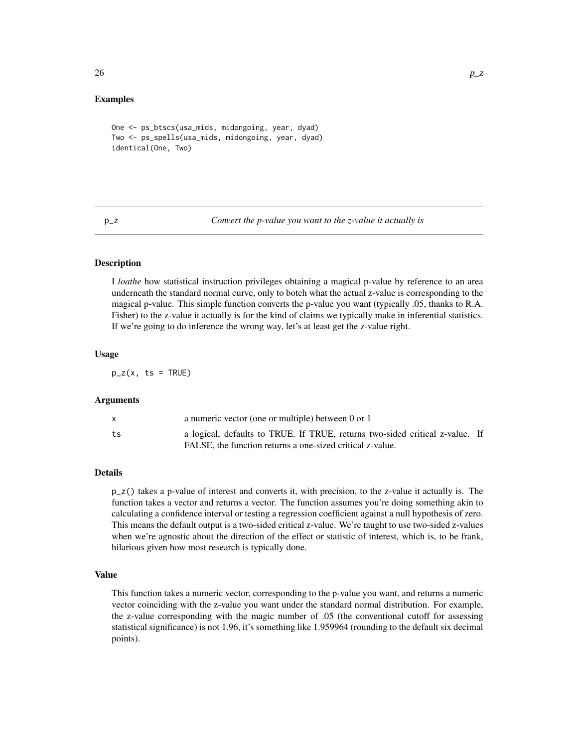#### <span id="page-25-0"></span>Examples

```
One <- ps_btscs(usa_mids, midongoing, year, dyad)
Two <- ps_spells(usa_mids, midongoing, year, dyad)
identical(One, Two)
```
p\_z *Convert the p-value you want to the z-value it actually is*

#### **Description**

I *loathe* how statistical instruction privileges obtaining a magical p-value by reference to an area underneath the standard normal curve, only to botch what the actual z-value is corresponding to the magical p-value. This simple function converts the p-value you want (typically .05, thanks to R.A. Fisher) to the z-value it actually is for the kind of claims we typically make in inferential statistics. If we're going to do inference the wrong way, let's at least get the z-value right.

#### Usage

 $p_z(x, ts = TRUE)$ 

#### Arguments

|    | a numeric vector (one or multiple) between 0 or 1                                                                                         |  |
|----|-------------------------------------------------------------------------------------------------------------------------------------------|--|
| ts | a logical, defaults to TRUE. If TRUE, returns two-sided critical z-value. If<br>FALSE, the function returns a one-sized critical z-value. |  |

#### Details

 $p_z$ () takes a p-value of interest and converts it, with precision, to the z-value it actually is. The function takes a vector and returns a vector. The function assumes you're doing something akin to calculating a confidence interval or testing a regression coefficient against a null hypothesis of zero. This means the default output is a two-sided critical z-value. We're taught to use two-sided z-values when we're agnostic about the direction of the effect or statistic of interest, which is, to be frank, hilarious given how most research is typically done.

#### Value

This function takes a numeric vector, corresponding to the p-value you want, and returns a numeric vector coinciding with the z-value you want under the standard normal distribution. For example, the z-value corresponding with the magic number of .05 (the conventional cutoff for assessing statistical significance) is not 1.96, it's something like 1.959964 (rounding to the default six decimal points).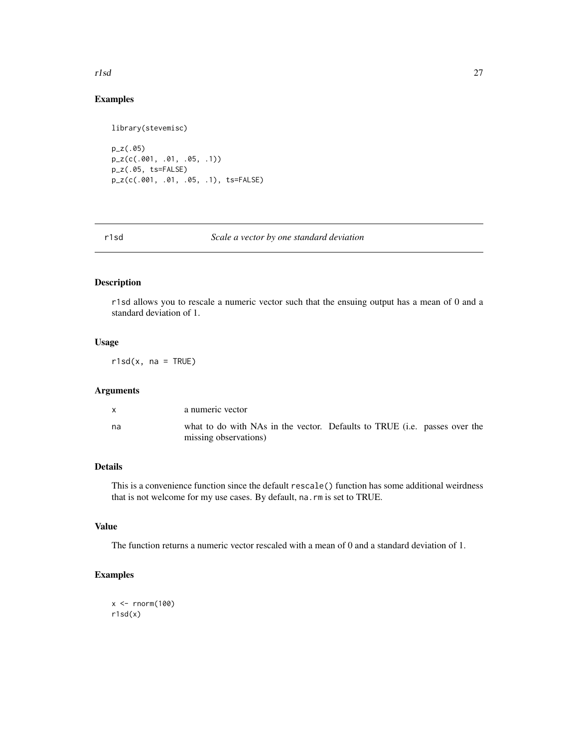#### <span id="page-26-0"></span>r1sd 27

## Examples

```
library(stevemisc)
p_z(.05)
p_z(c(.001, .01, .05, .1))
p_z(.05, ts=FALSE)
p_z(c(.001, .01, .05, .1), ts=FALSE)
```
### r1sd *Scale a vector by one standard deviation*

## Description

r1sd allows you to rescale a numeric vector such that the ensuing output has a mean of 0 and a standard deviation of 1.

## Usage

 $r1sd(x, na = TRUE)$ 

## Arguments

|    | a numeric vector                                                                                   |  |
|----|----------------------------------------------------------------------------------------------------|--|
| na | what to do with NAs in the vector. Defaults to TRUE (i.e. passes over the<br>missing observations) |  |

## Details

This is a convenience function since the default rescale() function has some additional weirdness that is not welcome for my use cases. By default, na.rm is set to TRUE.

## Value

The function returns a numeric vector rescaled with a mean of 0 and a standard deviation of 1.

## Examples

```
x < - rnorm(100)
r1sd(x)
```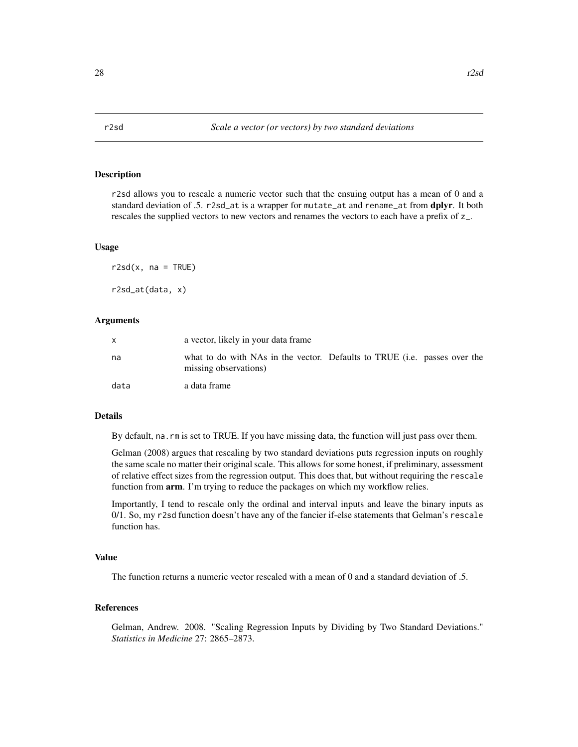<span id="page-27-0"></span>r2sd allows you to rescale a numeric vector such that the ensuing output has a mean of 0 and a standard deviation of .5. r2sd\_at is a wrapper for mutate\_at and rename\_at from dplyr. It both rescales the supplied vectors to new vectors and renames the vectors to each have a prefix of z\_.

#### Usage

 $r2sd(x, na = TRUE)$ r2sd\_at(data, x)

#### Arguments

|      | a vector, likely in your data frame                                                                |  |
|------|----------------------------------------------------------------------------------------------------|--|
| na   | what to do with NAs in the vector. Defaults to TRUE (i.e. passes over the<br>missing observations) |  |
| data | a data frame                                                                                       |  |

## Details

By default, na.rm is set to TRUE. If you have missing data, the function will just pass over them.

Gelman (2008) argues that rescaling by two standard deviations puts regression inputs on roughly the same scale no matter their original scale. This allows for some honest, if preliminary, assessment of relative effect sizes from the regression output. This does that, but without requiring the rescale function from arm. I'm trying to reduce the packages on which my workflow relies.

Importantly, I tend to rescale only the ordinal and interval inputs and leave the binary inputs as 0/1. So, my r2sd function doesn't have any of the fancier if-else statements that Gelman's rescale function has.

#### Value

The function returns a numeric vector rescaled with a mean of 0 and a standard deviation of .5.

## References

Gelman, Andrew. 2008. "Scaling Regression Inputs by Dividing by Two Standard Deviations." *Statistics in Medicine* 27: 2865–2873.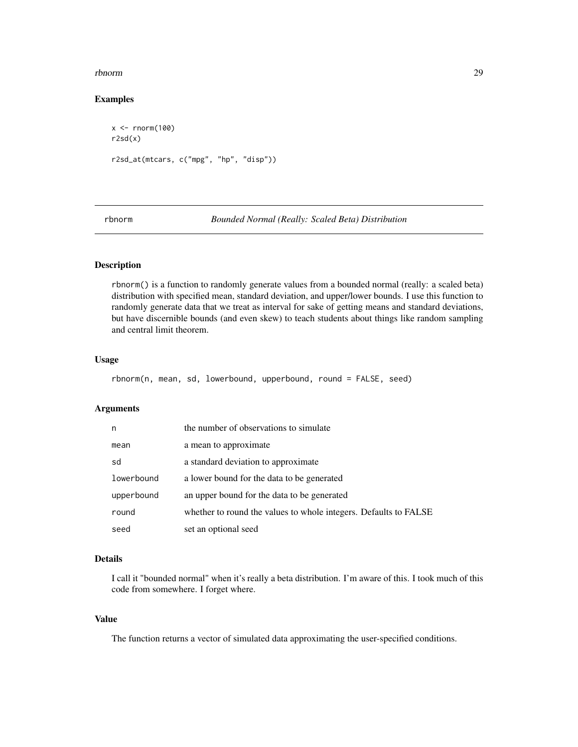#### <span id="page-28-0"></span>rbnorm 29

## Examples

```
x < - rnorm(100)
r2sd(x)
r2sd_at(mtcars, c("mpg", "hp", "disp"))
```
rbnorm *Bounded Normal (Really: Scaled Beta) Distribution*

## Description

rbnorm() is a function to randomly generate values from a bounded normal (really: a scaled beta) distribution with specified mean, standard deviation, and upper/lower bounds. I use this function to randomly generate data that we treat as interval for sake of getting means and standard deviations, but have discernible bounds (and even skew) to teach students about things like random sampling and central limit theorem.

## Usage

```
rbnorm(n, mean, sd, lowerbound, upperbound, round = FALSE, seed)
```
## Arguments

| n          | the number of observations to simulate                           |
|------------|------------------------------------------------------------------|
| mean       | a mean to approximate                                            |
| sd         | a standard deviation to approximate                              |
| lowerbound | a lower bound for the data to be generated                       |
| upperbound | an upper bound for the data to be generated                      |
| round      | whether to round the values to whole integers. Defaults to FALSE |
| seed       | set an optional seed                                             |

## Details

I call it "bounded normal" when it's really a beta distribution. I'm aware of this. I took much of this code from somewhere. I forget where.

#### Value

The function returns a vector of simulated data approximating the user-specified conditions.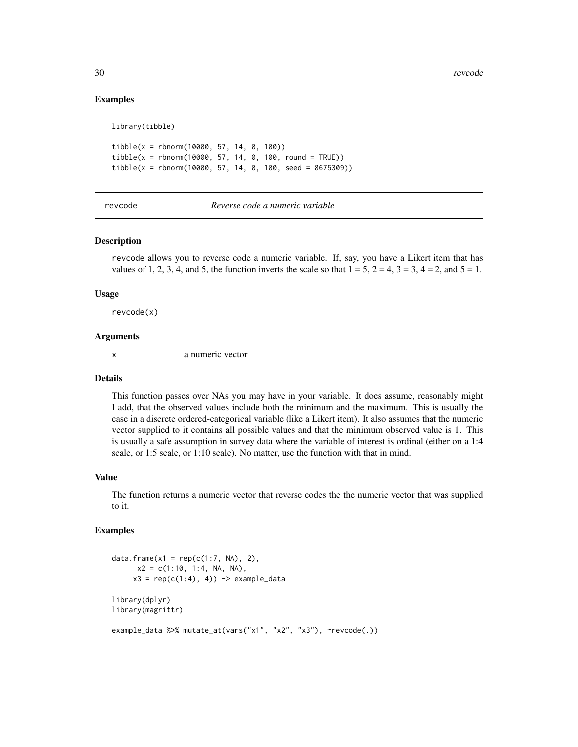#### Examples

library(tibble)

 $tibble(x = rhnorm(10000, 57, 14, 0, 100))$  $tibble(x = rhnorm(10000, 57, 14, 0, 100, round = TRUE))$  $tibble(x = rhnorm(10000, 57, 14, 0, 100, seed = 8675309))$ 

revcode *Reverse code a numeric variable*

#### Description

revcode allows you to reverse code a numeric variable. If, say, you have a Likert item that has values of 1, 2, 3, 4, and 5, the function inverts the scale so that  $1 = 5$ ,  $2 = 4$ ,  $3 = 3$ ,  $4 = 2$ , and  $5 = 1$ .

#### Usage

revcode(x)

## Arguments

x a numeric vector

#### Details

This function passes over NAs you may have in your variable. It does assume, reasonably might I add, that the observed values include both the minimum and the maximum. This is usually the case in a discrete ordered-categorical variable (like a Likert item). It also assumes that the numeric vector supplied to it contains all possible values and that the minimum observed value is 1. This is usually a safe assumption in survey data where the variable of interest is ordinal (either on a 1:4 scale, or 1:5 scale, or 1:10 scale). No matter, use the function with that in mind.

## Value

The function returns a numeric vector that reverse codes the the numeric vector that was supplied to it.

#### Examples

```
data.frame(x1 = rep(c(1:7, NA), 2),
      x2 = c(1:10, 1:4, NA, NA),
     x3 = rep(c(1:4), 4)) \rightarrow example\_datalibrary(dplyr)
library(magrittr)
example_data %>% mutate_at(vars("x1", "x2", "x3"), ~revcode(.))
```
<span id="page-29-0"></span>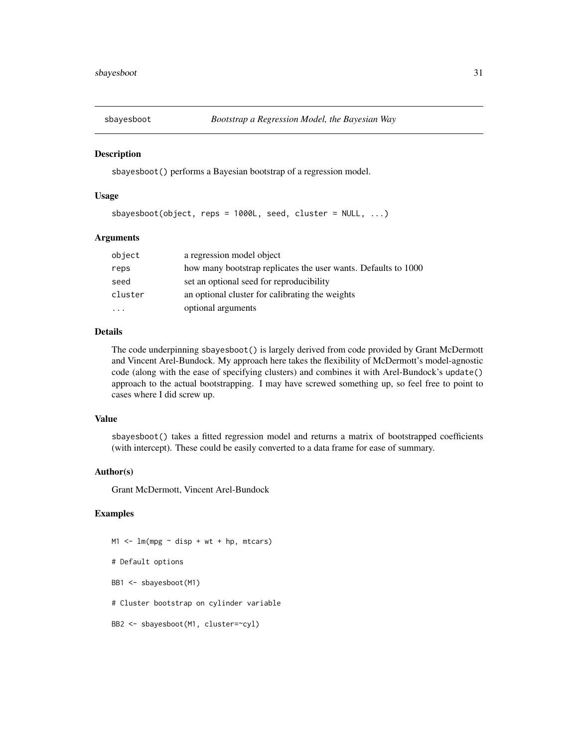<span id="page-30-0"></span>

sbayesboot() performs a Bayesian bootstrap of a regression model.

#### Usage

```
sbayesboot(object, reps = 1000L, seed, cluster = NULL, ...)
```
#### Arguments

| object                  | a regression model object                                      |
|-------------------------|----------------------------------------------------------------|
| reps                    | how many bootstrap replicates the user wants. Defaults to 1000 |
| seed                    | set an optional seed for reproducibility                       |
| cluster                 | an optional cluster for calibrating the weights                |
| $\cdot$ $\cdot$ $\cdot$ | optional arguments                                             |

## Details

The code underpinning sbayesboot() is largely derived from code provided by Grant McDermott and Vincent Arel-Bundock. My approach here takes the flexibility of McDermott's model-agnostic code (along with the ease of specifying clusters) and combines it with Arel-Bundock's update() approach to the actual bootstrapping. I may have screwed something up, so feel free to point to cases where I did screw up.

## Value

sbayesboot() takes a fitted regression model and returns a matrix of bootstrapped coefficients (with intercept). These could be easily converted to a data frame for ease of summary.

## Author(s)

Grant McDermott, Vincent Arel-Bundock

## Examples

 $M1$  <-  $lm(mpg \sim disp + wt + hp, mtcars)$ # Default options BB1 <- sbayesboot(M1) # Cluster bootstrap on cylinder variable BB2 <- sbayesboot(M1, cluster=~cyl)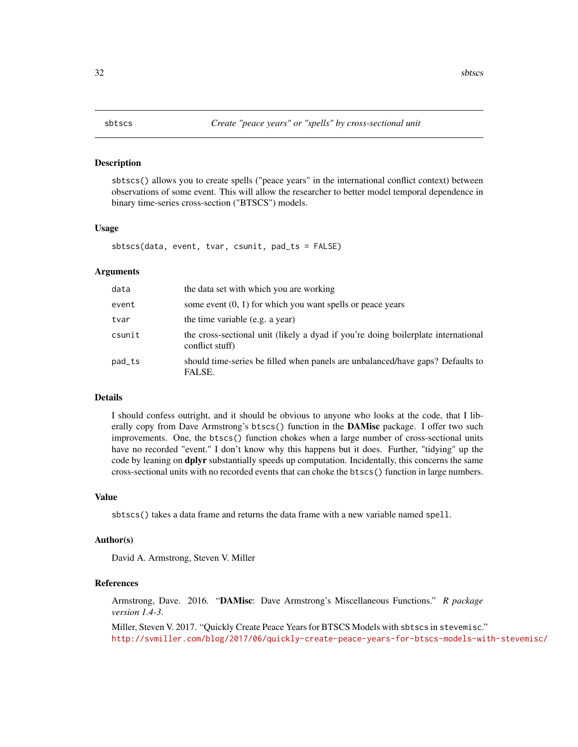<span id="page-31-0"></span>

sbtscs() allows you to create spells ("peace years" in the international conflict context) between observations of some event. This will allow the researcher to better model temporal dependence in binary time-series cross-section ("BTSCS") models.

#### Usage

sbtscs(data, event, tvar, csunit, pad\_ts = FALSE)

#### Arguments

| data   | the data set with which you are working                                                              |
|--------|------------------------------------------------------------------------------------------------------|
| event  | some event $(0, 1)$ for which you want spells or peace years                                         |
| tvar   | the time variable (e.g. a year)                                                                      |
| csunit | the cross-sectional unit (likely a dyad if you're doing boilerplate international<br>conflict stuff) |
| pad_ts | should time-series be filled when panels are unbalanced/have gaps? Defaults to<br>FALSE.             |

## Details

I should confess outright, and it should be obvious to anyone who looks at the code, that I liberally copy from Dave Armstrong's btscs() function in the **DAMisc** package. I offer two such improvements. One, the btscs() function chokes when a large number of cross-sectional units have no recorded "event." I don't know why this happens but it does. Further, "tidying" up the code by leaning on **dplyr** substantially speeds up computation. Incidentally, this concerns the same cross-sectional units with no recorded events that can choke the btscs() function in large numbers.

#### Value

sbtscs() takes a data frame and returns the data frame with a new variable named spell.

#### Author(s)

David A. Armstrong, Steven V. Miller

## References

Armstrong, Dave. 2016. "DAMisc: Dave Armstrong's Miscellaneous Functions." *R package version 1.4-3*.

Miller, Steven V. 2017. "Quickly Create Peace Years for BTSCS Models with sbtscs in stevemisc." <http://svmiller.com/blog/2017/06/quickly-create-peace-years-for-btscs-models-with-stevemisc/>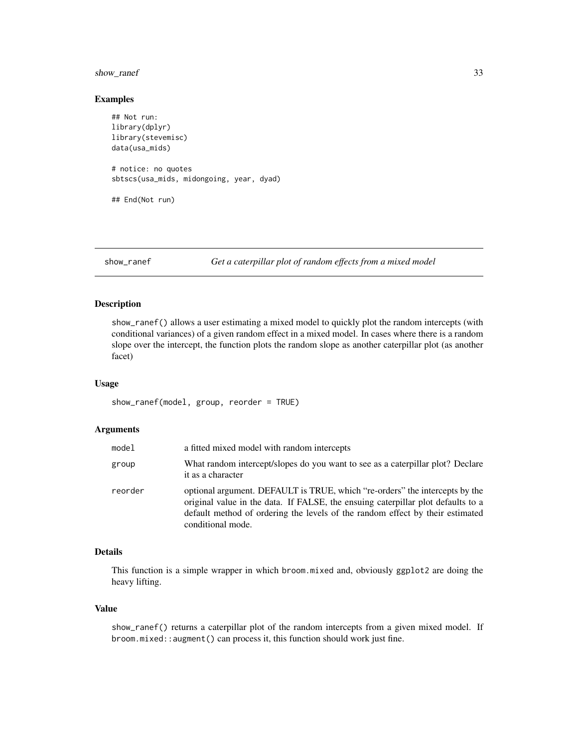## <span id="page-32-0"></span>show\_ranef 33

#### Examples

```
## Not run:
library(dplyr)
library(stevemisc)
data(usa_mids)
# notice: no quotes
sbtscs(usa_mids, midongoing, year, dyad)
## End(Not run)
```
show\_ranef *Get a caterpillar plot of random effects from a mixed model*

## Description

show\_ranef() allows a user estimating a mixed model to quickly plot the random intercepts (with conditional variances) of a given random effect in a mixed model. In cases where there is a random slope over the intercept, the function plots the random slope as another caterpillar plot (as another facet)

## Usage

```
show_ranef(model, group, reorder = TRUE)
```
#### Arguments

| model   | a fitted mixed model with random intercepts                                                                                                                                                                                                                           |  |
|---------|-----------------------------------------------------------------------------------------------------------------------------------------------------------------------------------------------------------------------------------------------------------------------|--|
| group   | What random intercept/slopes do you want to see as a caterpillar plot? Declare<br>it as a character                                                                                                                                                                   |  |
| reorder | optional argument. DEFAULT is TRUE, which "re-orders" the intercepts by the<br>original value in the data. If FALSE, the ensuing caterpillar plot defaults to a<br>default method of ordering the levels of the random effect by their estimated<br>conditional mode. |  |

#### Details

This function is a simple wrapper in which broom.mixed and, obviously ggplot2 are doing the heavy lifting.

## Value

show\_ranef() returns a caterpillar plot of the random intercepts from a given mixed model. If broom.mixed::augment() can process it, this function should work just fine.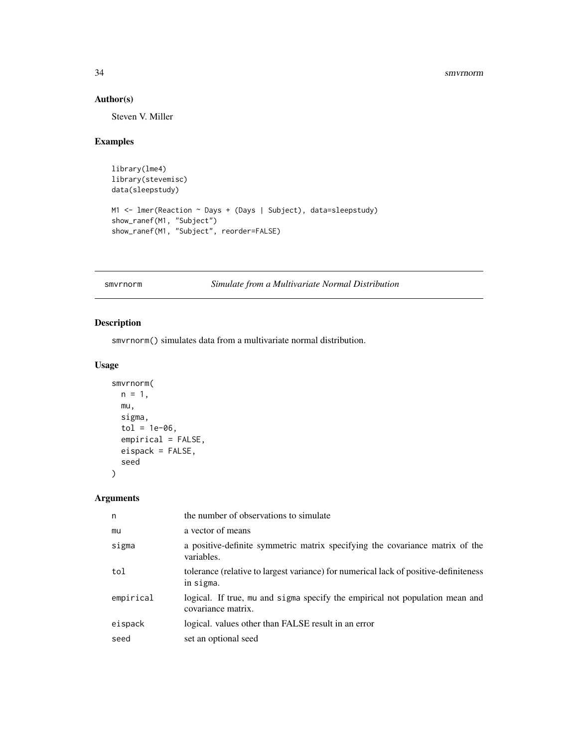#### 34 smvrnorm

## Author(s)

Steven V. Miller

## Examples

```
library(lme4)
library(stevemisc)
data(sleepstudy)
M1 <- lmer(Reaction ~ Days + (Days | Subject), data=sleepstudy)
show_ranef(M1, "Subject")
show_ranef(M1, "Subject", reorder=FALSE)
```
smvrnorm *Simulate from a Multivariate Normal Distribution*

## Description

smvrnorm() simulates data from a multivariate normal distribution.

## Usage

```
smvrnorm(
 n = 1,
 mu,
  sigma,
  tol = 1e-06,empirical = FALSE,
 eispack = FALSE,
  seed
\mathcal{L}
```
## Arguments

| n         | the number of observations to simulate                                                             |
|-----------|----------------------------------------------------------------------------------------------------|
| mu        | a vector of means                                                                                  |
| sigma     | a positive-definite symmetric matrix specifying the covariance matrix of the<br>variables.         |
| tol       | tolerance (relative to largest variance) for numerical lack of positive-definiteness<br>in sigma.  |
| empirical | logical. If true, mu and sigma specify the empirical not population mean and<br>covariance matrix. |
| eispack   | logical. values other than FALSE result in an error                                                |
| seed      | set an optional seed                                                                               |

<span id="page-33-0"></span>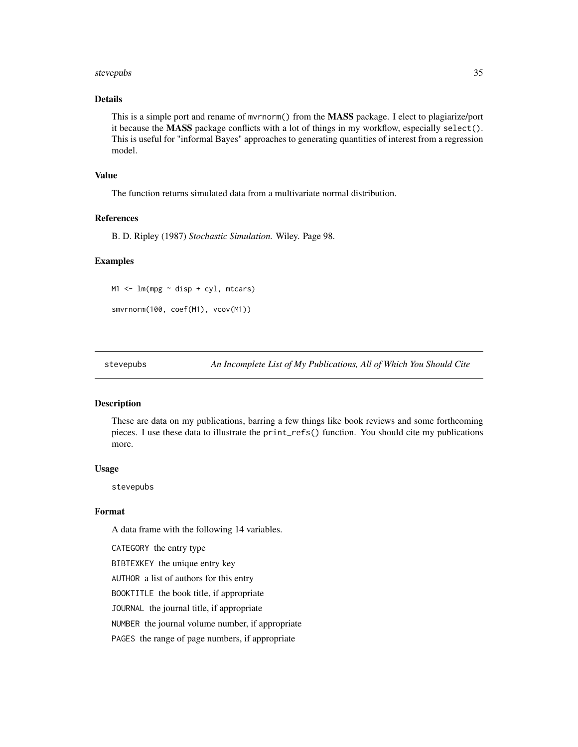#### <span id="page-34-0"></span>stevepubs 35

## Details

This is a simple port and rename of myrnorm() from the **MASS** package. I elect to plagiarize/port it because the MASS package conflicts with a lot of things in my workflow, especially select(). This is useful for "informal Bayes" approaches to generating quantities of interest from a regression model.

## Value

The function returns simulated data from a multivariate normal distribution.

#### References

B. D. Ripley (1987) *Stochastic Simulation.* Wiley. Page 98.

#### Examples

M1 <- lm(mpg ~ disp + cyl, mtcars)

smvrnorm(100, coef(M1), vcov(M1))

stevepubs *An Incomplete List of My Publications, All of Which You Should Cite*

### Description

These are data on my publications, barring a few things like book reviews and some forthcoming pieces. I use these data to illustrate the print\_refs() function. You should cite my publications more.

#### Usage

stevepubs

#### Format

A data frame with the following 14 variables.

CATEGORY the entry type

BIBTEXKEY the unique entry key

AUTHOR a list of authors for this entry

BOOKTITLE the book title, if appropriate

JOURNAL the journal title, if appropriate

NUMBER the journal volume number, if appropriate

PAGES the range of page numbers, if appropriate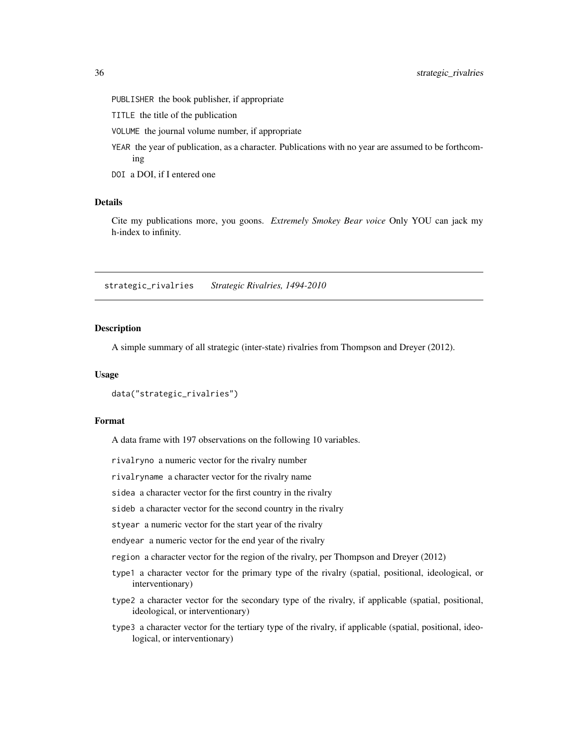- <span id="page-35-0"></span>PUBLISHER the book publisher, if appropriate
- TITLE the title of the publication
- VOLUME the journal volume number, if appropriate
- YEAR the year of publication, as a character. Publications with no year are assumed to be forthcoming
- DOI a DOI, if I entered one

## Details

Cite my publications more, you goons. *Extremely Smokey Bear voice* Only YOU can jack my h-index to infinity.

strategic\_rivalries *Strategic Rivalries, 1494-2010*

#### **Description**

A simple summary of all strategic (inter-state) rivalries from Thompson and Dreyer (2012).

#### Usage

```
data("strategic_rivalries")
```
## Format

A data frame with 197 observations on the following 10 variables.

rivalryno a numeric vector for the rivalry number

rivalryname a character vector for the rivalry name

sidea a character vector for the first country in the rivalry

sideb a character vector for the second country in the rivalry

styear a numeric vector for the start year of the rivalry

endyear a numeric vector for the end year of the rivalry

region a character vector for the region of the rivalry, per Thompson and Dreyer (2012)

- type1 a character vector for the primary type of the rivalry (spatial, positional, ideological, or interventionary)
- type2 a character vector for the secondary type of the rivalry, if applicable (spatial, positional, ideological, or interventionary)
- type3 a character vector for the tertiary type of the rivalry, if applicable (spatial, positional, ideological, or interventionary)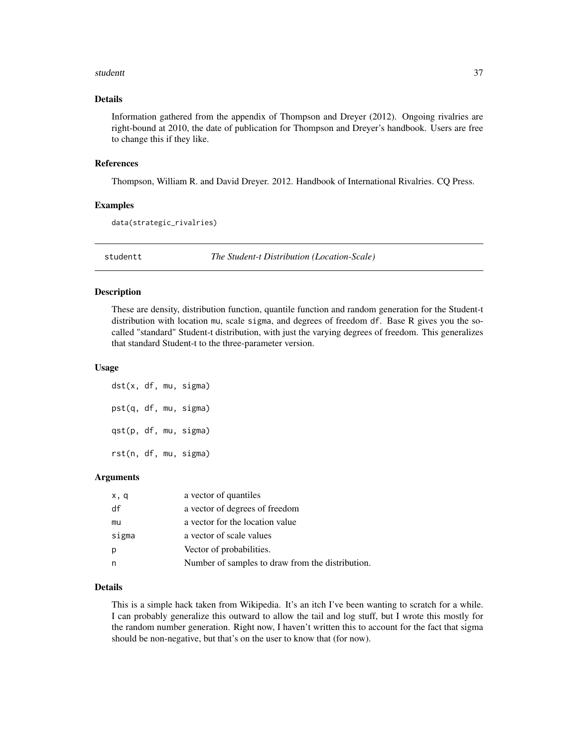#### <span id="page-36-0"></span>studentt and the students of the students of the students of the students of the students of the students of the students of the students of the students of the students of the students of the students of the students of t

## Details

Information gathered from the appendix of Thompson and Dreyer (2012). Ongoing rivalries are right-bound at 2010, the date of publication for Thompson and Dreyer's handbook. Users are free to change this if they like.

#### References

Thompson, William R. and David Dreyer. 2012. Handbook of International Rivalries. CQ Press.

## Examples

```
data(strategic_rivalries)
```
studentt *The Student-t Distribution (Location-Scale)*

#### **Description**

These are density, distribution function, quantile function and random generation for the Student-t distribution with location mu, scale sigma, and degrees of freedom df. Base R gives you the socalled "standard" Student-t distribution, with just the varying degrees of freedom. This generalizes that standard Student-t to the three-parameter version.

#### Usage

```
dst(x, df, mu, sigma)
pst(q, df, mu, sigma)
qst(p, df, mu, sigma)
rst(n, df, mu, sigma)
```
#### Arguments

| x, q  | a vector of quantiles                            |
|-------|--------------------------------------------------|
| df    | a vector of degrees of freedom                   |
| mu    | a vector for the location value                  |
| sigma | a vector of scale values                         |
| p     | Vector of probabilities.                         |
| n     | Number of samples to draw from the distribution. |

## Details

This is a simple hack taken from Wikipedia. It's an itch I've been wanting to scratch for a while. I can probably generalize this outward to allow the tail and log stuff, but I wrote this mostly for the random number generation. Right now, I haven't written this to account for the fact that sigma should be non-negative, but that's on the user to know that (for now).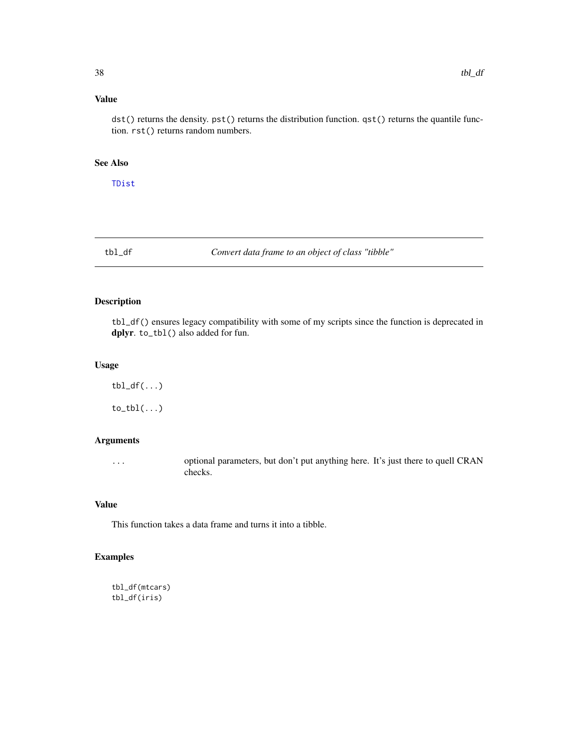## <span id="page-37-0"></span>Value

dst() returns the density. pst() returns the distribution function. qst() returns the quantile function. rst() returns random numbers.

## See Also

[TDist](#page-0-0)

tbl\_df *Convert data frame to an object of class "tibble"*

## Description

tbl\_df() ensures legacy compatibility with some of my scripts since the function is deprecated in dplyr. to\_tbl() also added for fun.

## Usage

 $\text{tbl}_df(\ldots)$  $to_tbl(...)$ 

## Arguments

... optional parameters, but don't put anything here. It's just there to quell CRAN checks.

## Value

This function takes a data frame and turns it into a tibble.

## Examples

```
tbl_df(mtcars)
tbl_df(iris)
```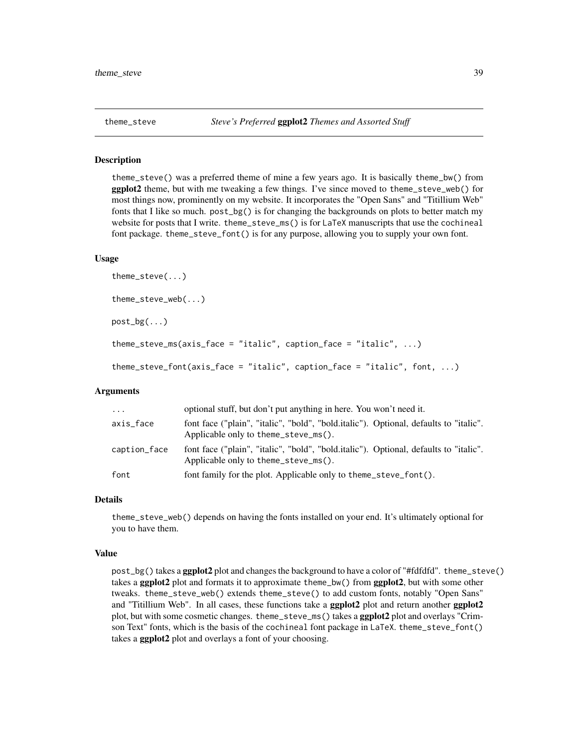<span id="page-38-0"></span>

theme\_steve() was a preferred theme of mine a few years ago. It is basically theme\_bw() from ggplot2 theme, but with me tweaking a few things. I've since moved to theme\_steve\_web() for most things now, prominently on my website. It incorporates the "Open Sans" and "Titillium Web" fonts that I like so much. post\_bg() is for changing the backgrounds on plots to better match my website for posts that I write. theme\_steve\_ms() is for LaTeX manuscripts that use the cochineal font package. theme\_steve\_font() is for any purpose, allowing you to supply your own font.

#### Usage

```
theme_steve(...)
theme_steve_web(...)
post_bg(...)
theme_steve_ms(axis_face = "italic", caption_face = "italic", \ldots)
theme_steve_font(axis_face = "italic", caption_face = "italic", font, ...)
```
## Arguments

| $\cdot \cdot \cdot$ | optional stuff, but don't put anything in here. You won't need it.                                                            |
|---------------------|-------------------------------------------------------------------------------------------------------------------------------|
| axis_face           | font face ("plain", "italic", "bold", "bold.italic"). Optional, defaults to "italic".<br>Applicable only to theme_steve_ms(). |
| caption_face        | font face ("plain", "italic", "bold", "bold.italic"). Optional, defaults to "italic".<br>Applicable only to theme_steve_ms(). |
| font                | font family for the plot. Applicable only to theme_steve_font().                                                              |

#### Details

theme\_steve\_web() depends on having the fonts installed on your end. It's ultimately optional for you to have them.

#### Value

post\_bg() takes a ggplot2 plot and changes the background to have a color of "#fdfdfd". theme\_steve() takes a ggplot2 plot and formats it to approximate theme\_bw() from ggplot2, but with some other tweaks. theme\_steve\_web() extends theme\_steve() to add custom fonts, notably "Open Sans" and "Titillium Web". In all cases, these functions take a **ggplot** 2 plot and return another **ggplot** 2 plot, but with some cosmetic changes. theme\_steve\_ms() takes a ggplot2 plot and overlays "Crimson Text" fonts, which is the basis of the cochineal font package in LaTeX. theme\_steve\_font() takes a **ggplot2** plot and overlays a font of your choosing.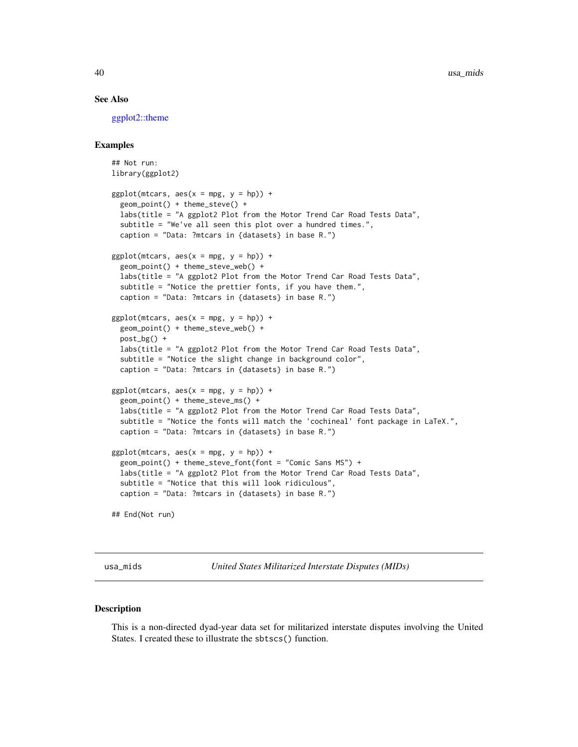#### See Also

[ggplot2::theme](#page-0-0)

#### Examples

```
## Not run:
library(ggplot2)
ggplot(mtcars, aes(x = mpg, y = hp)) +
 geom_point() + theme_steve() +
 labs(title = "A ggplot2 Plot from the Motor Trend Car Road Tests Data",
 subtitle = "We've all seen this plot over a hundred times.",
 caption = "Data: ?mtcars in {datasets} in base R.")
ggplot(mtcars, aes(x = mpg, y = hp)) +
 geom_point() + theme_steve_web() +
 labs(title = "A ggplot2 Plot from the Motor Trend Car Road Tests Data",
 subtitle = "Notice the prettier fonts, if you have them.",
 caption = "Data: ?mtcars in {datasets} in base R.")
ggplot(mtcars, aes(x = mpg, y = hp)) +geom_point() + theme_steve_web() +
 post_bg() +
 labs(title = "A ggplot2 Plot from the Motor Trend Car Road Tests Data",
 subtitle = "Notice the slight change in background color",
 caption = "Data: ?mtcars in {datasets} in base R.")
ggplot(mtcars, aes(x = mpg, y = hp)) +
 geom_point() + theme_steve_ms() +
 labs(title = "A ggplot2 Plot from the Motor Trend Car Road Tests Data",
 subtitle = "Notice the fonts will match the 'cochineal' font package in LaTeX.",
 caption = "Data: ?mtcars in {datasets} in base R.")
ggplot(mtcars, aes(x = mpg, y = hp)) +geom_point() + theme_steve_font(font = "Comic Sans MS") +
 labs(title = "A ggplot2 Plot from the Motor Trend Car Road Tests Data",
 subtitle = "Notice that this will look ridiculous",
 caption = "Data: ?mtcars in {datasets} in base R.")
## End(Not run)
```
usa\_mids *United States Militarized Interstate Disputes (MIDs)*

#### Description

This is a non-directed dyad-year data set for militarized interstate disputes involving the United States. I created these to illustrate the sbtscs() function.

<span id="page-39-0"></span>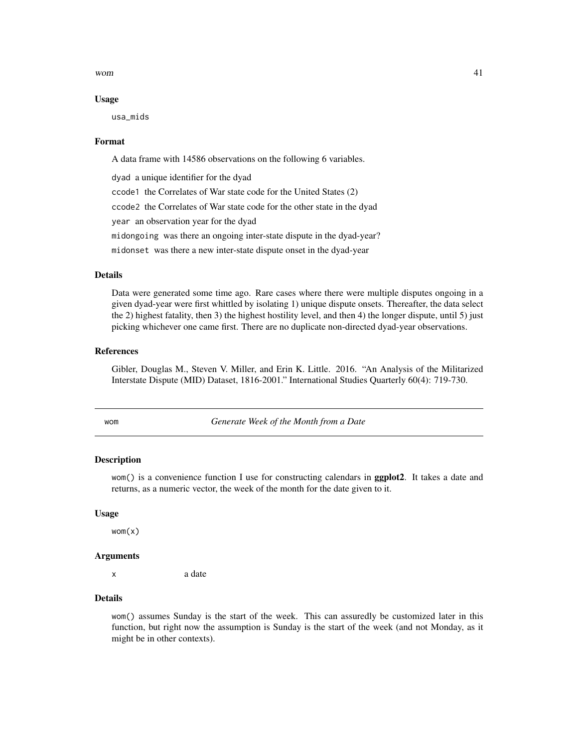<span id="page-40-0"></span>wom  $41$ 

#### Usage

usa\_mids

#### Format

A data frame with 14586 observations on the following 6 variables.

dyad a unique identifier for the dyad

ccode1 the Correlates of War state code for the United States (2)

ccode2 the Correlates of War state code for the other state in the dyad

year an observation year for the dyad

midongoing was there an ongoing inter-state dispute in the dyad-year?

midonset was there a new inter-state dispute onset in the dyad-year

## Details

Data were generated some time ago. Rare cases where there were multiple disputes ongoing in a given dyad-year were first whittled by isolating 1) unique dispute onsets. Thereafter, the data select the 2) highest fatality, then 3) the highest hostility level, and then 4) the longer dispute, until 5) just picking whichever one came first. There are no duplicate non-directed dyad-year observations.

#### References

Gibler, Douglas M., Steven V. Miller, and Erin K. Little. 2016. "An Analysis of the Militarized Interstate Dispute (MID) Dataset, 1816-2001." International Studies Quarterly 60(4): 719-730.

wom *Generate Week of the Month from a Date*

#### Description

wom() is a convenience function I use for constructing calendars in **ggplot2**. It takes a date and returns, as a numeric vector, the week of the month for the date given to it.

#### Usage

 $wom(x)$ 

#### Arguments

x a date

## Details

wom() assumes Sunday is the start of the week. This can assuredly be customized later in this function, but right now the assumption is Sunday is the start of the week (and not Monday, as it might be in other contexts).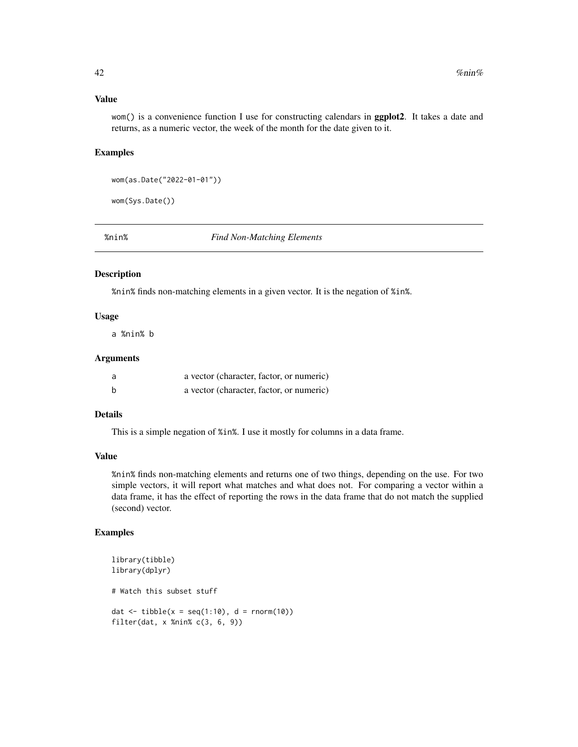## <span id="page-41-0"></span>Value

wom() is a convenience function I use for constructing calendars in **ggplot2**. It takes a date and returns, as a numeric vector, the week of the month for the date given to it.

### Examples

```
wom(as.Date("2022-01-01"))
```
wom(Sys.Date())

%nin% *Find Non-Matching Elements*

## Description

%nin% finds non-matching elements in a given vector. It is the negation of %in%.

## Usage

a %nin% b

#### Arguments

|   | a vector (character, factor, or numeric) |
|---|------------------------------------------|
| b | a vector (character, factor, or numeric) |

## Details

This is a simple negation of %in%. I use it mostly for columns in a data frame.

## Value

%nin% finds non-matching elements and returns one of two things, depending on the use. For two simple vectors, it will report what matches and what does not. For comparing a vector within a data frame, it has the effect of reporting the rows in the data frame that do not match the supplied (second) vector.

### Examples

```
library(tibble)
library(dplyr)
# Watch this subset stuff
dat \le tibble(x = seq(1:10), d = rnorm(10))
filter(dat, x %nin% c(3, 6, 9))
```